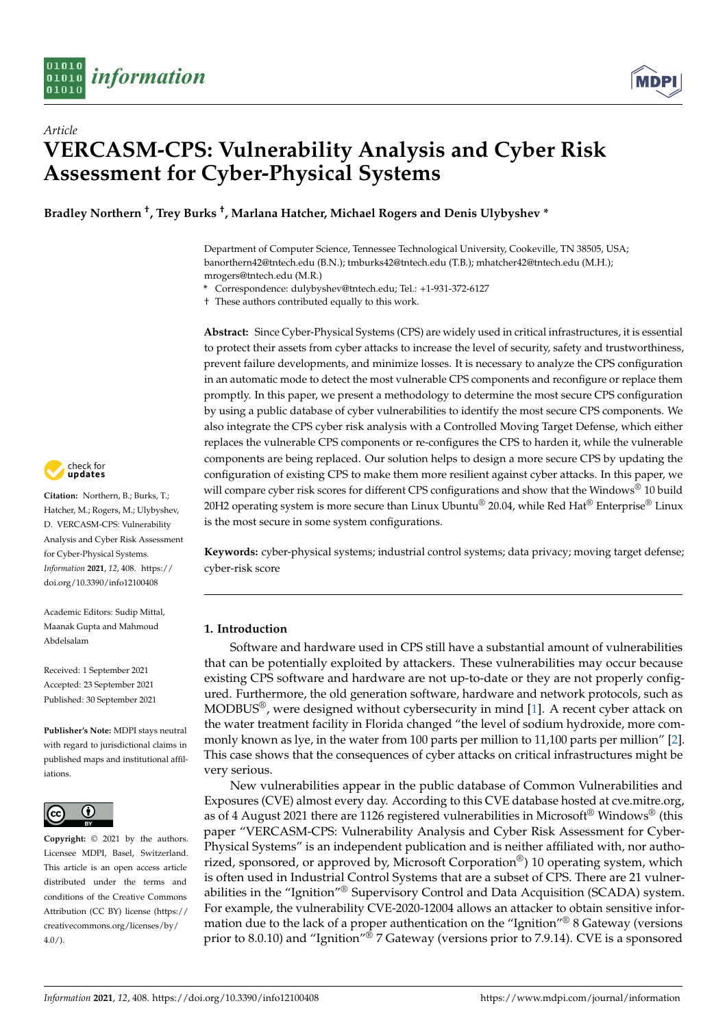

# *Article* **VERCASM-CPS: Vulnerability Analysis and Cyber Risk Assessment for Cyber-Physical Systems**

**Bradley Northern † , Trey Burks † , Marlana Hatcher, Michael Rogers and Denis Ulybyshev \***

Department of Computer Science, Tennessee Technological University, Cookeville, TN 38505, USA; banorthern42@tntech.edu (B.N.); tmburks42@tntech.edu (T.B.); mhatcher42@tntech.edu (M.H.); mrogers@tntech.edu (M.R.)

**\*** Correspondence: dulybyshev@tntech.edu; Tel.: +1-931-372-6127

† These authors contributed equally to this work.

**Abstract:** Since Cyber-Physical Systems (CPS) are widely used in critical infrastructures, it is essential to protect their assets from cyber attacks to increase the level of security, safety and trustworthiness, prevent failure developments, and minimize losses. It is necessary to analyze the CPS configuration in an automatic mode to detect the most vulnerable CPS components and reconfigure or replace them promptly. In this paper, we present a methodology to determine the most secure CPS configuration by using a public database of cyber vulnerabilities to identify the most secure CPS components. We also integrate the CPS cyber risk analysis with a Controlled Moving Target Defense, which either replaces the vulnerable CPS components or re-configures the CPS to harden it, while the vulnerable components are being replaced. Our solution helps to design a more secure CPS by updating the configuration of existing CPS to make them more resilient against cyber attacks. In this paper, we will compare cyber risk scores for different CPS configurations and show that the Windows® 10 build 20H2 operating system is more secure than Linux Ubuntu® 20.04, while Red Hat® Enterprise® Linux is the most secure in some system configurations.

**Keywords:** cyber-physical systems; industrial control systems; data privacy; moving target defense; cyber-risk score

# **1. Introduction**

Software and hardware used in CPS still have a substantial amount of vulnerabilities that can be potentially exploited by attackers. These vulnerabilities may occur because existing CPS software and hardware are not up-to-date or they are not properly configured. Furthermore, the old generation software, hardware and network protocols, such as  $MODBUS<sup>®</sup>$ , were designed without cybersecurity in mind [\[1\]](#page-21-0). A recent cyber attack on the water treatment facility in Florida changed "the level of sodium hydroxide, more commonly known as lye, in the water from 100 parts per million to 11,100 parts per million" [\[2\]](#page-21-1). This case shows that the consequences of cyber attacks on critical infrastructures might be very serious.

New vulnerabilities appear in the public database of Common Vulnerabilities and Exposures (CVE) almost every day. According to this CVE database hosted at cve.mitre.org, as of 4 August 2021 there are 1126 registered vulnerabilities in Microsoft<sup>®</sup> Windows<sup>®</sup> (this paper "VERCASM-CPS: Vulnerability Analysis and Cyber Risk Assessment for Cyber-Physical Systems" is an independent publication and is neither affiliated with, nor authorized, sponsored, or approved by, Microsoft Corporation<sup>®</sup>) 10 operating system, which is often used in Industrial Control Systems that are a subset of CPS. There are 21 vulnerabilities in the "Ignition"® Supervisory Control and Data Acquisition (SCADA) system. For example, the vulnerability CVE-2020-12004 allows an attacker to obtain sensitive information due to the lack of a proper authentication on the "Ignition"® 8 Gateway (versions prior to 8.0.10) and "Ignition"<sup>®</sup> 7 Gateway (versions prior to 7.9.14). CVE is a sponsored



**Citation:** Northern, B.; Burks, T.; Hatcher, M.; Rogers, M.; Ulybyshev, D. VERCASM-CPS: Vulnerability Analysis and Cyber Risk Assessment for Cyber-Physical Systems. *Information* **2021**, *12*, 408. [https://](https://doi.org/10.3390/info12100408) [doi.org/10.3390/info12100408](https://doi.org/10.3390/info12100408)

Academic Editors: Sudip Mittal, Maanak Gupta and Mahmoud Abdelsalam

Received: 1 September 2021 Accepted: 23 September 2021 Published: 30 September 2021

**Publisher's Note:** MDPI stays neutral with regard to jurisdictional claims in published maps and institutional affiliations.



**Copyright:** © 2021 by the authors. Licensee MDPI, Basel, Switzerland. This article is an open access article distributed under the terms and conditions of the Creative Commons Attribution (CC BY) license (https:/[/](https://creativecommons.org/licenses/by/4.0/) [creativecommons.org/licenses/by/](https://creativecommons.org/licenses/by/4.0/)  $4.0/$ ).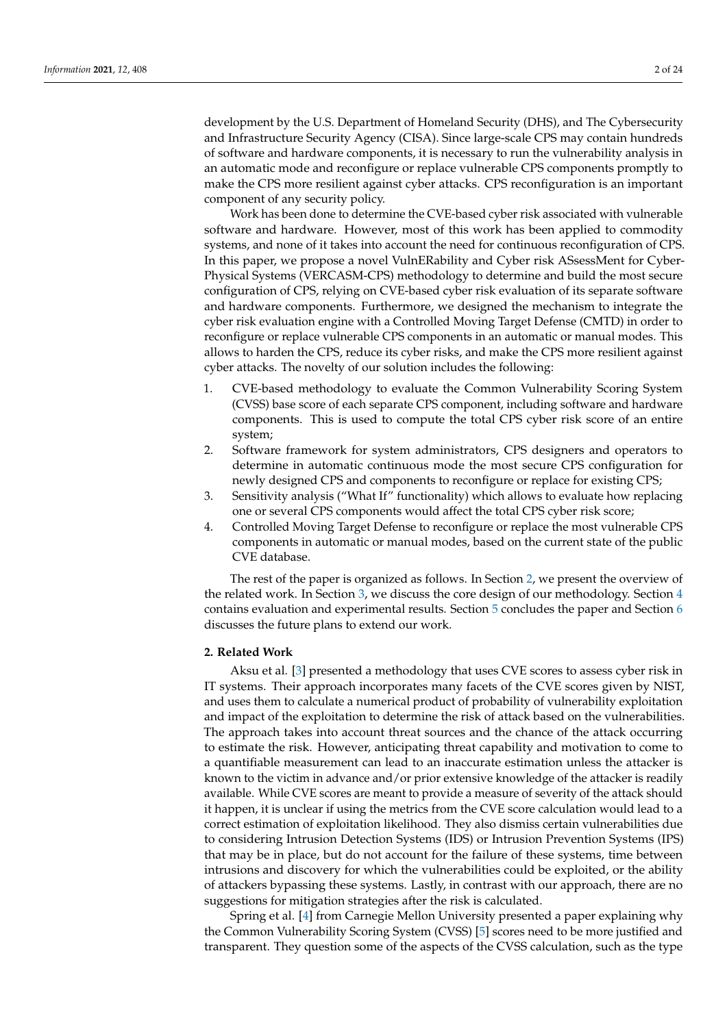development by the U.S. Department of Homeland Security (DHS), and The Cybersecurity and Infrastructure Security Agency (CISA). Since large-scale CPS may contain hundreds of software and hardware components, it is necessary to run the vulnerability analysis in an automatic mode and reconfigure or replace vulnerable CPS components promptly to make the CPS more resilient against cyber attacks. CPS reconfiguration is an important component of any security policy.

Work has been done to determine the CVE-based cyber risk associated with vulnerable software and hardware. However, most of this work has been applied to commodity systems, and none of it takes into account the need for continuous reconfiguration of CPS. In this paper, we propose a novel VulnERability and Cyber risk ASsessMent for Cyber-Physical Systems (VERCASM-CPS) methodology to determine and build the most secure configuration of CPS, relying on CVE-based cyber risk evaluation of its separate software and hardware components. Furthermore, we designed the mechanism to integrate the cyber risk evaluation engine with a Controlled Moving Target Defense (CMTD) in order to reconfigure or replace vulnerable CPS components in an automatic or manual modes. This allows to harden the CPS, reduce its cyber risks, and make the CPS more resilient against cyber attacks. The novelty of our solution includes the following:

- 1. CVE-based methodology to evaluate the Common Vulnerability Scoring System (CVSS) base score of each separate CPS component, including software and hardware components. This is used to compute the total CPS cyber risk score of an entire system;
- 2. Software framework for system administrators, CPS designers and operators to determine in automatic continuous mode the most secure CPS configuration for newly designed CPS and components to reconfigure or replace for existing CPS;
- 3. Sensitivity analysis ("What If" functionality) which allows to evaluate how replacing one or several CPS components would affect the total CPS cyber risk score;
- 4. Controlled Moving Target Defense to reconfigure or replace the most vulnerable CPS components in automatic or manual modes, based on the current state of the public CVE database.

The rest of the paper is organized as follows. In Section [2,](#page-1-0) we present the overview of the related work. In Section [3,](#page-4-0) we discuss the core design of our methodology. Section [4](#page-13-0) contains evaluation and experimental results. Section [5](#page-20-0) concludes the paper and Section [6](#page-21-2) discusses the future plans to extend our work.

### <span id="page-1-0"></span>**2. Related Work**

Aksu et al. [\[3\]](#page-21-3) presented a methodology that uses CVE scores to assess cyber risk in IT systems. Their approach incorporates many facets of the CVE scores given by NIST, and uses them to calculate a numerical product of probability of vulnerability exploitation and impact of the exploitation to determine the risk of attack based on the vulnerabilities. The approach takes into account threat sources and the chance of the attack occurring to estimate the risk. However, anticipating threat capability and motivation to come to a quantifiable measurement can lead to an inaccurate estimation unless the attacker is known to the victim in advance and/or prior extensive knowledge of the attacker is readily available. While CVE scores are meant to provide a measure of severity of the attack should it happen, it is unclear if using the metrics from the CVE score calculation would lead to a correct estimation of exploitation likelihood. They also dismiss certain vulnerabilities due to considering Intrusion Detection Systems (IDS) or Intrusion Prevention Systems (IPS) that may be in place, but do not account for the failure of these systems, time between intrusions and discovery for which the vulnerabilities could be exploited, or the ability of attackers bypassing these systems. Lastly, in contrast with our approach, there are no suggestions for mitigation strategies after the risk is calculated.

Spring et al. [\[4\]](#page-21-4) from Carnegie Mellon University presented a paper explaining why the Common Vulnerability Scoring System (CVSS) [\[5\]](#page-21-5) scores need to be more justified and transparent. They question some of the aspects of the CVSS calculation, such as the type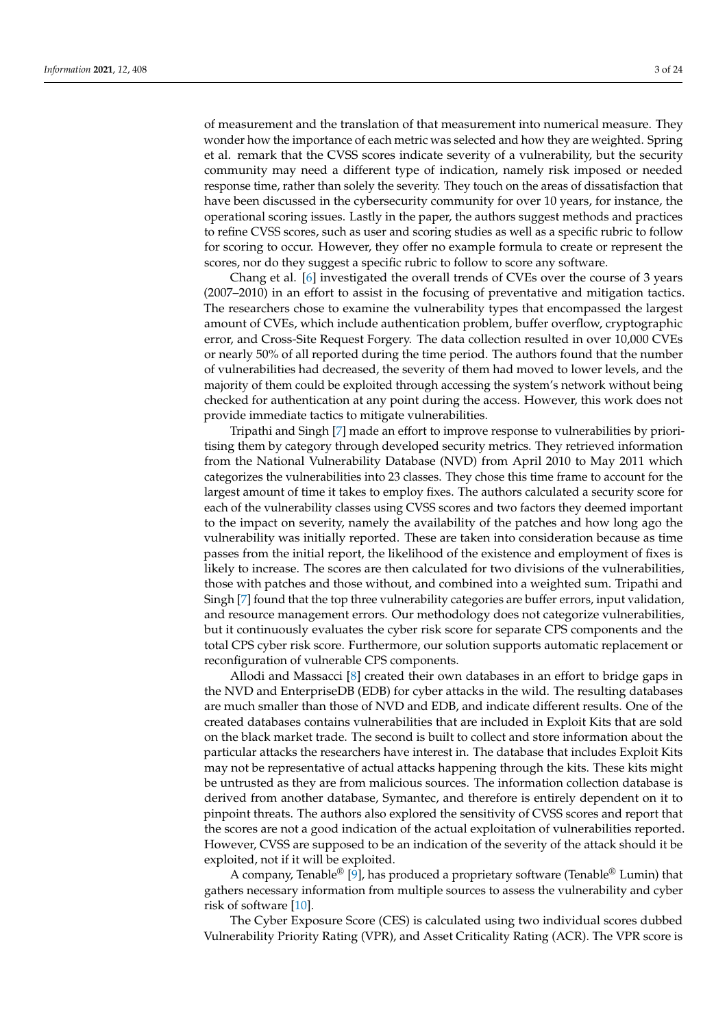of measurement and the translation of that measurement into numerical measure. They wonder how the importance of each metric was selected and how they are weighted. Spring et al. remark that the CVSS scores indicate severity of a vulnerability, but the security community may need a different type of indication, namely risk imposed or needed response time, rather than solely the severity. They touch on the areas of dissatisfaction that have been discussed in the cybersecurity community for over 10 years, for instance, the operational scoring issues. Lastly in the paper, the authors suggest methods and practices to refine CVSS scores, such as user and scoring studies as well as a specific rubric to follow for scoring to occur. However, they offer no example formula to create or represent the scores, nor do they suggest a specific rubric to follow to score any software.

Chang et al. [\[6\]](#page-21-6) investigated the overall trends of CVEs over the course of 3 years (2007–2010) in an effort to assist in the focusing of preventative and mitigation tactics. The researchers chose to examine the vulnerability types that encompassed the largest amount of CVEs, which include authentication problem, buffer overflow, cryptographic error, and Cross-Site Request Forgery. The data collection resulted in over 10,000 CVEs or nearly 50% of all reported during the time period. The authors found that the number of vulnerabilities had decreased, the severity of them had moved to lower levels, and the majority of them could be exploited through accessing the system's network without being checked for authentication at any point during the access. However, this work does not provide immediate tactics to mitigate vulnerabilities.

Tripathi and Singh [\[7\]](#page-22-0) made an effort to improve response to vulnerabilities by prioritising them by category through developed security metrics. They retrieved information from the National Vulnerability Database (NVD) from April 2010 to May 2011 which categorizes the vulnerabilities into 23 classes. They chose this time frame to account for the largest amount of time it takes to employ fixes. The authors calculated a security score for each of the vulnerability classes using CVSS scores and two factors they deemed important to the impact on severity, namely the availability of the patches and how long ago the vulnerability was initially reported. These are taken into consideration because as time passes from the initial report, the likelihood of the existence and employment of fixes is likely to increase. The scores are then calculated for two divisions of the vulnerabilities, those with patches and those without, and combined into a weighted sum. Tripathi and Singh [\[7\]](#page-22-0) found that the top three vulnerability categories are buffer errors, input validation, and resource management errors. Our methodology does not categorize vulnerabilities, but it continuously evaluates the cyber risk score for separate CPS components and the total CPS cyber risk score. Furthermore, our solution supports automatic replacement or reconfiguration of vulnerable CPS components.

Allodi and Massacci [\[8\]](#page-22-1) created their own databases in an effort to bridge gaps in the NVD and EnterpriseDB (EDB) for cyber attacks in the wild. The resulting databases are much smaller than those of NVD and EDB, and indicate different results. One of the created databases contains vulnerabilities that are included in Exploit Kits that are sold on the black market trade. The second is built to collect and store information about the particular attacks the researchers have interest in. The database that includes Exploit Kits may not be representative of actual attacks happening through the kits. These kits might be untrusted as they are from malicious sources. The information collection database is derived from another database, Symantec, and therefore is entirely dependent on it to pinpoint threats. The authors also explored the sensitivity of CVSS scores and report that the scores are not a good indication of the actual exploitation of vulnerabilities reported. However, CVSS are supposed to be an indication of the severity of the attack should it be exploited, not if it will be exploited.

A company, Tenable<sup>®</sup> [\[9\]](#page-22-2), has produced a proprietary software (Tenable<sup>®</sup> Lumin) that gathers necessary information from multiple sources to assess the vulnerability and cyber risk of software [\[10\]](#page-22-3).

The Cyber Exposure Score (CES) is calculated using two individual scores dubbed Vulnerability Priority Rating (VPR), and Asset Criticality Rating (ACR). The VPR score is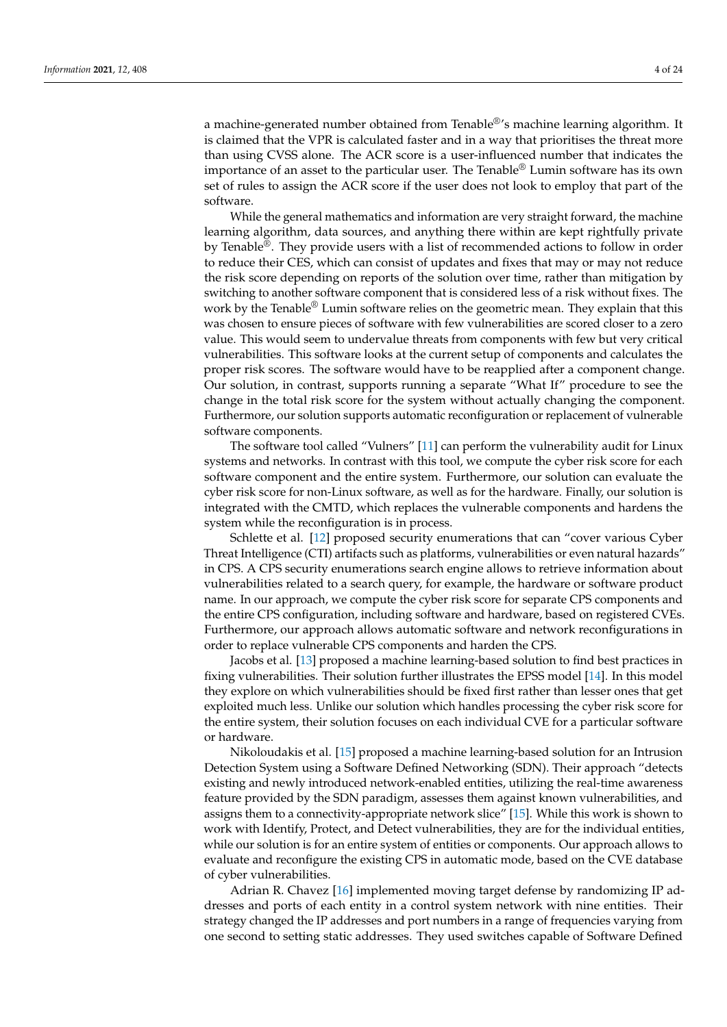a machine-generated number obtained from Tenable®'s machine learning algorithm. It is claimed that the VPR is calculated faster and in a way that prioritises the threat more than using CVSS alone. The ACR score is a user-influenced number that indicates the importance of an asset to the particular user. The Tenable® Lumin software has its own set of rules to assign the ACR score if the user does not look to employ that part of the software.

While the general mathematics and information are very straight forward, the machine learning algorithm, data sources, and anything there within are kept rightfully private by Tenable®. They provide users with a list of recommended actions to follow in order to reduce their CES, which can consist of updates and fixes that may or may not reduce the risk score depending on reports of the solution over time, rather than mitigation by switching to another software component that is considered less of a risk without fixes. The work by the Tenable $^{\circledR}$  Lumin software relies on the geometric mean. They explain that this was chosen to ensure pieces of software with few vulnerabilities are scored closer to a zero value. This would seem to undervalue threats from components with few but very critical vulnerabilities. This software looks at the current setup of components and calculates the proper risk scores. The software would have to be reapplied after a component change. Our solution, in contrast, supports running a separate "What If" procedure to see the change in the total risk score for the system without actually changing the component. Furthermore, our solution supports automatic reconfiguration or replacement of vulnerable software components.

The software tool called "Vulners" [\[11\]](#page-22-4) can perform the vulnerability audit for Linux systems and networks. In contrast with this tool, we compute the cyber risk score for each software component and the entire system. Furthermore, our solution can evaluate the cyber risk score for non-Linux software, as well as for the hardware. Finally, our solution is integrated with the CMTD, which replaces the vulnerable components and hardens the system while the reconfiguration is in process.

Schlette et al. [\[12\]](#page-22-5) proposed security enumerations that can "cover various Cyber Threat Intelligence (CTI) artifacts such as platforms, vulnerabilities or even natural hazards" in CPS. A CPS security enumerations search engine allows to retrieve information about vulnerabilities related to a search query, for example, the hardware or software product name. In our approach, we compute the cyber risk score for separate CPS components and the entire CPS configuration, including software and hardware, based on registered CVEs. Furthermore, our approach allows automatic software and network reconfigurations in order to replace vulnerable CPS components and harden the CPS.

Jacobs et al. [\[13\]](#page-22-6) proposed a machine learning-based solution to find best practices in fixing vulnerabilities. Their solution further illustrates the EPSS model [\[14\]](#page-22-7). In this model they explore on which vulnerabilities should be fixed first rather than lesser ones that get exploited much less. Unlike our solution which handles processing the cyber risk score for the entire system, their solution focuses on each individual CVE for a particular software or hardware.

Nikoloudakis et al. [\[15\]](#page-22-8) proposed a machine learning-based solution for an Intrusion Detection System using a Software Defined Networking (SDN). Their approach "detects existing and newly introduced network-enabled entities, utilizing the real-time awareness feature provided by the SDN paradigm, assesses them against known vulnerabilities, and assigns them to a connectivity-appropriate network slice" [\[15\]](#page-22-8). While this work is shown to work with Identify, Protect, and Detect vulnerabilities, they are for the individual entities, while our solution is for an entire system of entities or components. Our approach allows to evaluate and reconfigure the existing CPS in automatic mode, based on the CVE database of cyber vulnerabilities.

Adrian R. Chavez [\[16\]](#page-22-9) implemented moving target defense by randomizing IP addresses and ports of each entity in a control system network with nine entities. Their strategy changed the IP addresses and port numbers in a range of frequencies varying from one second to setting static addresses. They used switches capable of Software Defined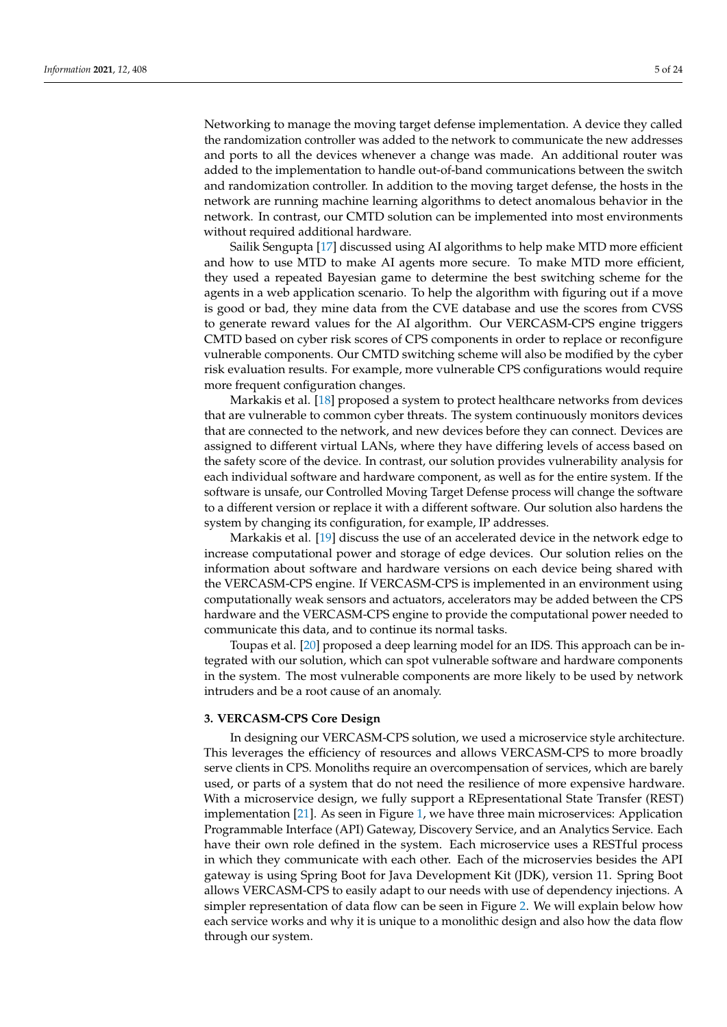Networking to manage the moving target defense implementation. A device they called the randomization controller was added to the network to communicate the new addresses and ports to all the devices whenever a change was made. An additional router was added to the implementation to handle out-of-band communications between the switch and randomization controller. In addition to the moving target defense, the hosts in the network are running machine learning algorithms to detect anomalous behavior in the network. In contrast, our CMTD solution can be implemented into most environments without required additional hardware.

Sailik Sengupta [\[17\]](#page-22-10) discussed using AI algorithms to help make MTD more efficient and how to use MTD to make AI agents more secure. To make MTD more efficient, they used a repeated Bayesian game to determine the best switching scheme for the agents in a web application scenario. To help the algorithm with figuring out if a move is good or bad, they mine data from the CVE database and use the scores from CVSS to generate reward values for the AI algorithm. Our VERCASM-CPS engine triggers CMTD based on cyber risk scores of CPS components in order to replace or reconfigure vulnerable components. Our CMTD switching scheme will also be modified by the cyber risk evaluation results. For example, more vulnerable CPS configurations would require more frequent configuration changes.

Markakis et al. [\[18\]](#page-22-11) proposed a system to protect healthcare networks from devices that are vulnerable to common cyber threats. The system continuously monitors devices that are connected to the network, and new devices before they can connect. Devices are assigned to different virtual LANs, where they have differing levels of access based on the safety score of the device. In contrast, our solution provides vulnerability analysis for each individual software and hardware component, as well as for the entire system. If the software is unsafe, our Controlled Moving Target Defense process will change the software to a different version or replace it with a different software. Our solution also hardens the system by changing its configuration, for example, IP addresses.

Markakis et al. [\[19\]](#page-22-12) discuss the use of an accelerated device in the network edge to increase computational power and storage of edge devices. Our solution relies on the information about software and hardware versions on each device being shared with the VERCASM-CPS engine. If VERCASM-CPS is implemented in an environment using computationally weak sensors and actuators, accelerators may be added between the CPS hardware and the VERCASM-CPS engine to provide the computational power needed to communicate this data, and to continue its normal tasks.

Toupas et al. [\[20\]](#page-22-13) proposed a deep learning model for an IDS. This approach can be integrated with our solution, which can spot vulnerable software and hardware components in the system. The most vulnerable components are more likely to be used by network intruders and be a root cause of an anomaly.

# <span id="page-4-0"></span>**3. VERCASM-CPS Core Design**

In designing our VERCASM-CPS solution, we used a microservice style architecture. This leverages the efficiency of resources and allows VERCASM-CPS to more broadly serve clients in CPS. Monoliths require an overcompensation of services, which are barely used, or parts of a system that do not need the resilience of more expensive hardware. With a microservice design, we fully support a REpresentational State Transfer (REST) implementation [\[21\]](#page-22-14). As seen in Figure [1,](#page-5-0) we have three main microservices: Application Programmable Interface (API) Gateway, Discovery Service, and an Analytics Service. Each have their own role defined in the system. Each microservice uses a RESTful process in which they communicate with each other. Each of the microservies besides the API gateway is using Spring Boot for Java Development Kit (JDK), version 11. Spring Boot allows VERCASM-CPS to easily adapt to our needs with use of dependency injections. A simpler representation of data flow can be seen in Figure [2.](#page-5-1) We will explain below how each service works and why it is unique to a monolithic design and also how the data flow through our system.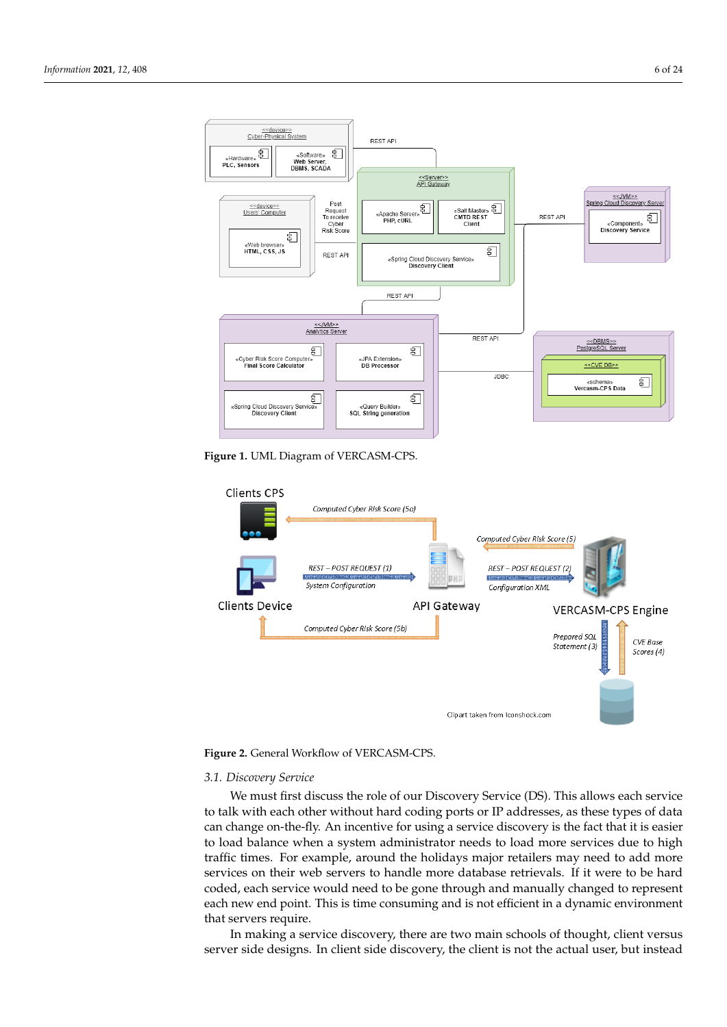<span id="page-5-0"></span>

**Figure 1.** UML Diagram of VERCASM-CPS.

<span id="page-5-1"></span>

**Figure 2.** General Workflow of VERCASM-CPS.

### *3.1. Discovery Service*

We must first discuss the role of our Discovery Service (DS). This allows each service to talk with each other without hard coding ports or IP addresses, as these types of data can change on-the-fly. An incentive for using a service discovery is the fact that it is easier to load balance when a system administrator needs to load more services due to high traffic times. For example, around the holidays major retailers may need to add more services on their web servers to handle more database retrievals. If it were to be hard coded, each service would need to be gone through and manually changed to represent each new end point. This is time consuming and is not efficient in a dynamic environment that servers require.

In making a service discovery, there are two main schools of thought, client versus server side designs. In client side discovery, the client is not the actual user, but instead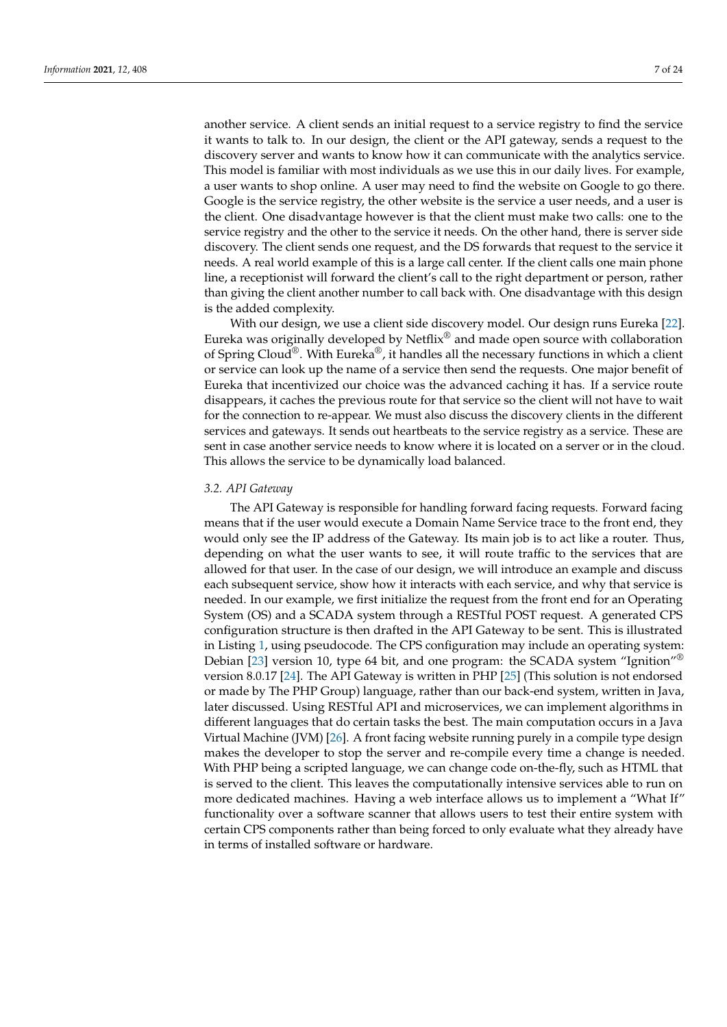another service. A client sends an initial request to a service registry to find the service it wants to talk to. In our design, the client or the API gateway, sends a request to the discovery server and wants to know how it can communicate with the analytics service. This model is familiar with most individuals as we use this in our daily lives. For example, a user wants to shop online. A user may need to find the website on Google to go there. Google is the service registry, the other website is the service a user needs, and a user is the client. One disadvantage however is that the client must make two calls: one to the service registry and the other to the service it needs. On the other hand, there is server side discovery. The client sends one request, and the DS forwards that request to the service it needs. A real world example of this is a large call center. If the client calls one main phone line, a receptionist will forward the client's call to the right department or person, rather than giving the client another number to call back with. One disadvantage with this design is the added complexity.

With our design, we use a client side discovery model. Our design runs Eureka [\[22\]](#page-22-15). Eureka was originally developed by Netflix® and made open source with collaboration of Spring Cloud<sup>®</sup>. With Eureka<sup>®</sup>, it handles all the necessary functions in which a client or service can look up the name of a service then send the requests. One major benefit of Eureka that incentivized our choice was the advanced caching it has. If a service route disappears, it caches the previous route for that service so the client will not have to wait for the connection to re-appear. We must also discuss the discovery clients in the different services and gateways. It sends out heartbeats to the service registry as a service. These are sent in case another service needs to know where it is located on a server or in the cloud. This allows the service to be dynamically load balanced.

# *3.2. API Gateway*

The API Gateway is responsible for handling forward facing requests. Forward facing means that if the user would execute a Domain Name Service trace to the front end, they would only see the IP address of the Gateway. Its main job is to act like a router. Thus, depending on what the user wants to see, it will route traffic to the services that are allowed for that user. In the case of our design, we will introduce an example and discuss each subsequent service, show how it interacts with each service, and why that service is needed. In our example, we first initialize the request from the front end for an Operating System (OS) and a SCADA system through a RESTful POST request. A generated CPS configuration structure is then drafted in the API Gateway to be sent. This is illustrated in Listing [1,](#page-7-0) using pseudocode. The CPS configuration may include an operating system: Debian [\[23\]](#page-22-16) version 10, type 64 bit, and one program: the SCADA system "Ignition"® version 8.0.17 [\[24\]](#page-22-17). The API Gateway is written in PHP [\[25\]](#page-22-18) (This solution is not endorsed or made by The PHP Group) language, rather than our back-end system, written in Java, later discussed. Using RESTful API and microservices, we can implement algorithms in different languages that do certain tasks the best. The main computation occurs in a Java Virtual Machine (JVM) [\[26\]](#page-22-19). A front facing website running purely in a compile type design makes the developer to stop the server and re-compile every time a change is needed. With PHP being a scripted language, we can change code on-the-fly, such as HTML that is served to the client. This leaves the computationally intensive services able to run on more dedicated machines. Having a web interface allows us to implement a "What If" functionality over a software scanner that allows users to test their entire system with certain CPS components rather than being forced to only evaluate what they already have in terms of installed software or hardware.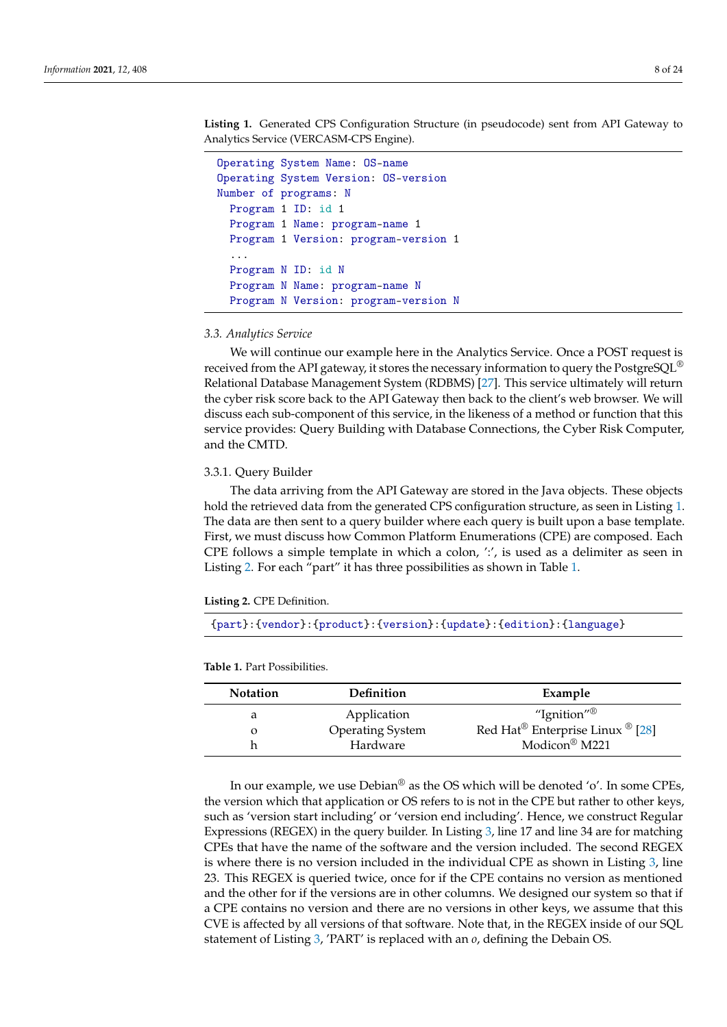<span id="page-7-0"></span>**Listing 1.** Generated CPS Configuration Structure (in pseudocode) sent from API Gateway to Analytics Service (VERCASM-CPS Engine).

```
Operating System Name: OS-name
Operating System Version: OS-version
Number of programs: N
  Program 1 ID: id 1
  Program 1 Name: program-name 1
  Program 1 Version: program-version 1
  ...
  Program N ID: id N
  Program N Name: program-name N
  Program N Version: program-version N
```
*3.3. Analytics Service*

We will continue our example here in the Analytics Service. Once a POST request is received from the API gateway, it stores the necessary information to query the PostgreSQL® Relational Database Management System (RDBMS) [\[27\]](#page-22-20). This service ultimately will return the cyber risk score back to the API Gateway then back to the client's web browser. We will discuss each sub-component of this service, in the likeness of a method or function that this service provides: Query Building with Database Connections, the Cyber Risk Computer, and the CMTD.

### 3.3.1. Query Builder

The data arriving from the API Gateway are stored in the Java objects. These objects hold the retrieved data from the generated CPS configuration structure, as seen in Listing [1.](#page-7-0) The data are then sent to a query builder where each query is built upon a base template. First, we must discuss how Common Platform Enumerations (CPE) are composed. Each CPE follows a simple template in which a colon, ':', is used as a delimiter as seen in Listing [2.](#page-7-1) For each "part" it has three possibilities as shown in Table [1.](#page-7-2)

<span id="page-7-1"></span>

{part}:{vendor}:{product}:{version}:{update}:{edition}:{language}

<span id="page-7-2"></span>**Table 1.** Part Possibilities.

| <b>Notation</b> | <b>Definition</b>       | Example                          |
|-----------------|-------------------------|----------------------------------|
| a               | Application             | "Ignition" $^{\circledR}$        |
| $\Omega$        | <b>Operating System</b> | Red Hat® Enterprise Linux ® [28] |
|                 | Hardware                | Modicon <sup>®</sup> M221        |

In our example, we use Debian® as the OS which will be denoted 'o'. In some CPEs, the version which that application or OS refers to is not in the CPE but rather to other keys, such as 'version start including' or 'version end including'. Hence, we construct Regular Expressions (REGEX) in the query builder. In Listing [3,](#page-8-0) line 17 and line 34 are for matching CPEs that have the name of the software and the version included. The second REGEX is where there is no version included in the individual CPE as shown in Listing [3,](#page-8-0) line 23. This REGEX is queried twice, once for if the CPE contains no version as mentioned and the other for if the versions are in other columns. We designed our system so that if a CPE contains no version and there are no versions in other keys, we assume that this CVE is affected by all versions of that software. Note that, in the REGEX inside of our SQL statement of Listing [3,](#page-8-0) 'PART' is replaced with an *o*, defining the Debain OS.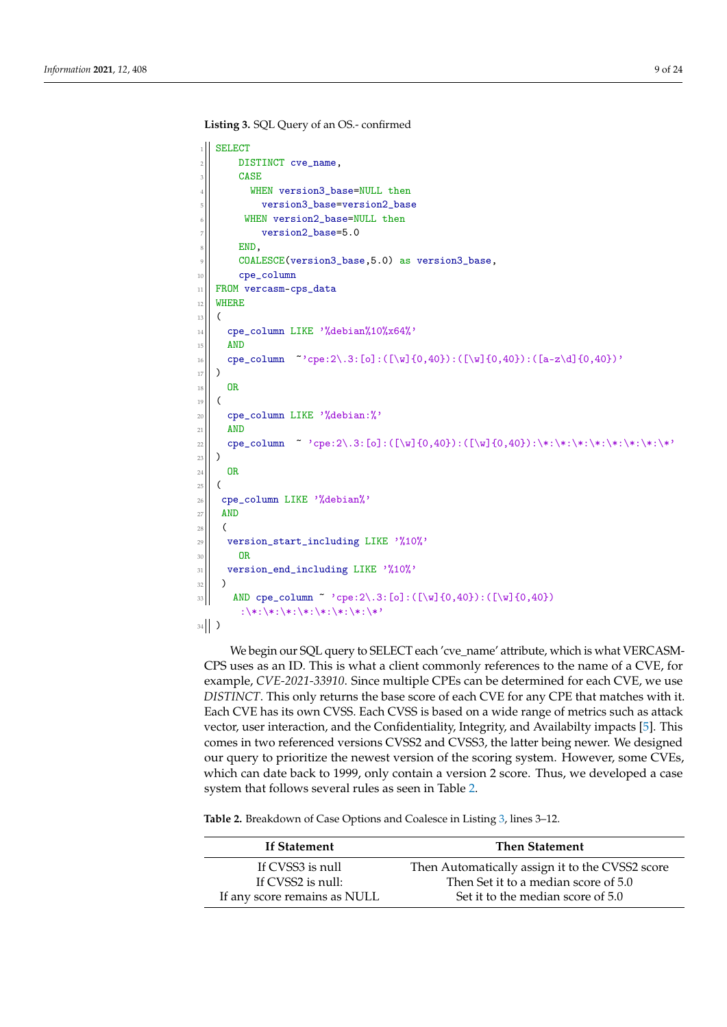<span id="page-8-0"></span>**Listing 3.** SQL Query of an OS.- confirmed

```
SELECT
       DISTINCT cve_name,
       CASE
          WHEN version3_base=NULL then
            version3_base=version2_base
         WHEN version2_base=NULL then
            version2_base=5.0
       END.
       9 COALESCE(version3_base,5.0) as version3_base,
10 cpe_column
11 FROM vercasm-cps_data
12 WHERE
13 (
\left| \right| cpe_column LIKE '%debian%10%x64%'
15 AND
16 cpe_column \tilde{ } cpe:2\.3:[o]:([\w]{0,40}):([\w]{0,40}):([a-z\d]{0,40})'
_{17})
18 OR
19 (
20 cpe_column LIKE '%debian:%'
_{21} AND
22 cpe_column ~ 'cpe:2\.3:[o]:([\w]{0,40}):([\w]{0,40}):\*:\*:\*:\*:\*:\*:\*:\*'
23 \mid \mid )
24 OR
25 (
|26| cpe_column LIKE '%debian%'
27 AND
28 (
29 version_start_including LIKE '%10%'
30 \text{ R}31 version end including LIKE '%10%'
32 \parallel )
\text{33} \| \text{ AND cpe\_column } \text{* } 'cpe: 2 \backslash .3: [o]:([\w] \{0,40\}):([\w] \{0,40\}):\*:\*:\*:\*:\*:\*:\*:\*'\*'
34 )
```
We begin our SQL query to SELECT each 'cve\_name' attribute, which is what VERCASM-CPS uses as an ID. This is what a client commonly references to the name of a CVE, for example, *CVE-2021-33910*. Since multiple CPEs can be determined for each CVE, we use *DISTINCT*. This only returns the base score of each CVE for any CPE that matches with it. Each CVE has its own CVSS. Each CVSS is based on a wide range of metrics such as attack vector, user interaction, and the Confidentiality, Integrity, and Availabilty impacts [\[5\]](#page-21-5). This comes in two referenced versions CVSS2 and CVSS3, the latter being newer. We designed our query to prioritize the newest version of the scoring system. However, some CVEs, which can date back to 1999, only contain a version 2 score. Thus, we developed a case system that follows several rules as seen in Table [2.](#page-8-1)

<span id="page-8-1"></span>**Table 2.** Breakdown of Case Options and Coalesce in Listing [3,](#page-8-0) lines 3–12.

| If Statement                 | <b>Then Statement</b>                           |
|------------------------------|-------------------------------------------------|
| If CVSS3 is null             | Then Automatically assign it to the CVSS2 score |
| If CVSS2 is null:            | Then Set it to a median score of 5.0            |
| If any score remains as NULL | Set it to the median score of 5.0               |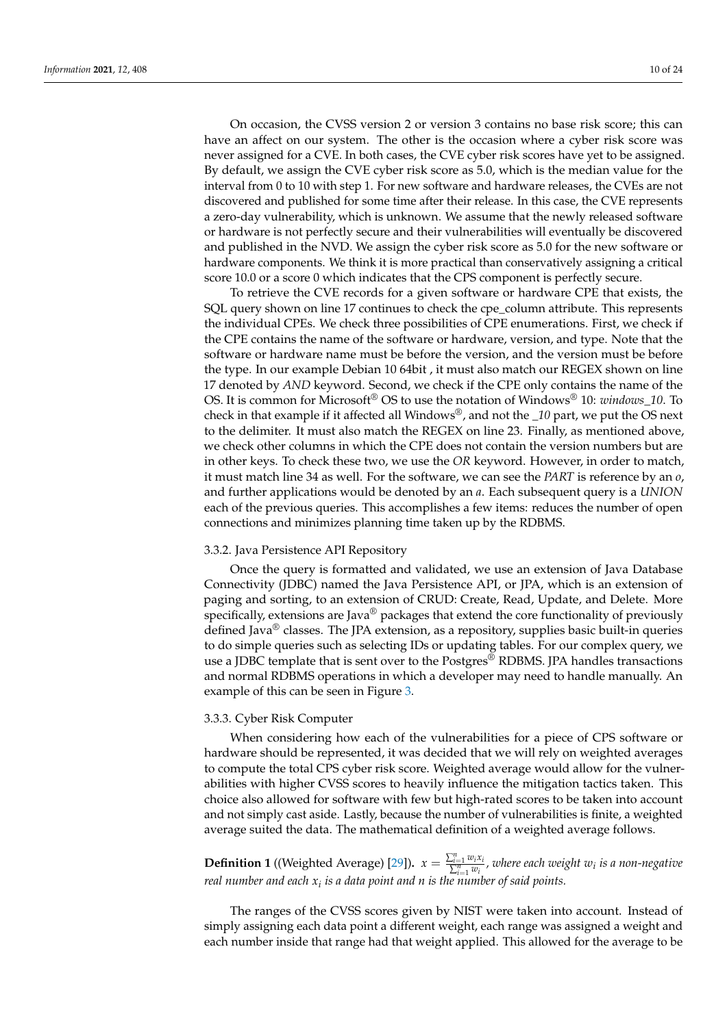On occasion, the CVSS version 2 or version 3 contains no base risk score; this can have an affect on our system. The other is the occasion where a cyber risk score was never assigned for a CVE. In both cases, the CVE cyber risk scores have yet to be assigned. By default, we assign the CVE cyber risk score as 5.0, which is the median value for the interval from 0 to 10 with step 1. For new software and hardware releases, the CVEs are not discovered and published for some time after their release. In this case, the CVE represents a zero-day vulnerability, which is unknown. We assume that the newly released software or hardware is not perfectly secure and their vulnerabilities will eventually be discovered and published in the NVD. We assign the cyber risk score as 5.0 for the new software or hardware components. We think it is more practical than conservatively assigning a critical score 10.0 or a score 0 which indicates that the CPS component is perfectly secure.

To retrieve the CVE records for a given software or hardware CPE that exists, the SQL query shown on line 17 continues to check the cpe\_column attribute. This represents the individual CPEs. We check three possibilities of CPE enumerations. First, we check if the CPE contains the name of the software or hardware, version, and type. Note that the software or hardware name must be before the version, and the version must be before the type. In our example Debian 10 64bit , it must also match our REGEX shown on line 17 denoted by *AND* keyword. Second, we check if the CPE only contains the name of the OS. It is common for Microsoft® OS to use the notation of Windows® 10: *windows\_10*. To check in that example if it affected all Windows®, and not the *\_10* part, we put the OS next to the delimiter. It must also match the REGEX on line 23. Finally, as mentioned above, we check other columns in which the CPE does not contain the version numbers but are in other keys. To check these two, we use the *OR* keyword. However, in order to match, it must match line 34 as well. For the software, we can see the *PART* is reference by an *o*, and further applications would be denoted by an *a*. Each subsequent query is a *UNION* each of the previous queries. This accomplishes a few items: reduces the number of open connections and minimizes planning time taken up by the RDBMS.

### 3.3.2. Java Persistence API Repository

Once the query is formatted and validated, we use an extension of Java Database Connectivity (JDBC) named the Java Persistence API, or JPA, which is an extension of paging and sorting, to an extension of CRUD: Create, Read, Update, and Delete. More specifically, extensions are Java $^{\circledR}$  packages that extend the core functionality of previously defined Java® classes. The JPA extension, as a repository, supplies basic built-in queries to do simple queries such as selecting IDs or updating tables. For our complex query, we use a JDBC template that is sent over to the Postgres<sup>®</sup> RDBMS. JPA handles transactions and normal RDBMS operations in which a developer may need to handle manually. An example of this can be seen in Figure [3.](#page-10-0)

### 3.3.3. Cyber Risk Computer

When considering how each of the vulnerabilities for a piece of CPS software or hardware should be represented, it was decided that we will rely on weighted averages to compute the total CPS cyber risk score. Weighted average would allow for the vulnerabilities with higher CVSS scores to heavily influence the mitigation tactics taken. This choice also allowed for software with few but high-rated scores to be taken into account and not simply cast aside. Lastly, because the number of vulnerabilities is finite, a weighted average suited the data. The mathematical definition of a weighted average follows.

**Definition 1** ((Weighted Average) [\[29\]](#page-22-22)).  $x = \frac{\sum_{i=1}^{n} w_i x_i}{\sum_{i=1}^{n} w_i}$ , where each weight  $w_i$  is a non-negative *real number and each x<sup>i</sup> is a data point and n is the number of said points.*

The ranges of the CVSS scores given by NIST were taken into account. Instead of simply assigning each data point a different weight, each range was assigned a weight and each number inside that range had that weight applied. This allowed for the average to be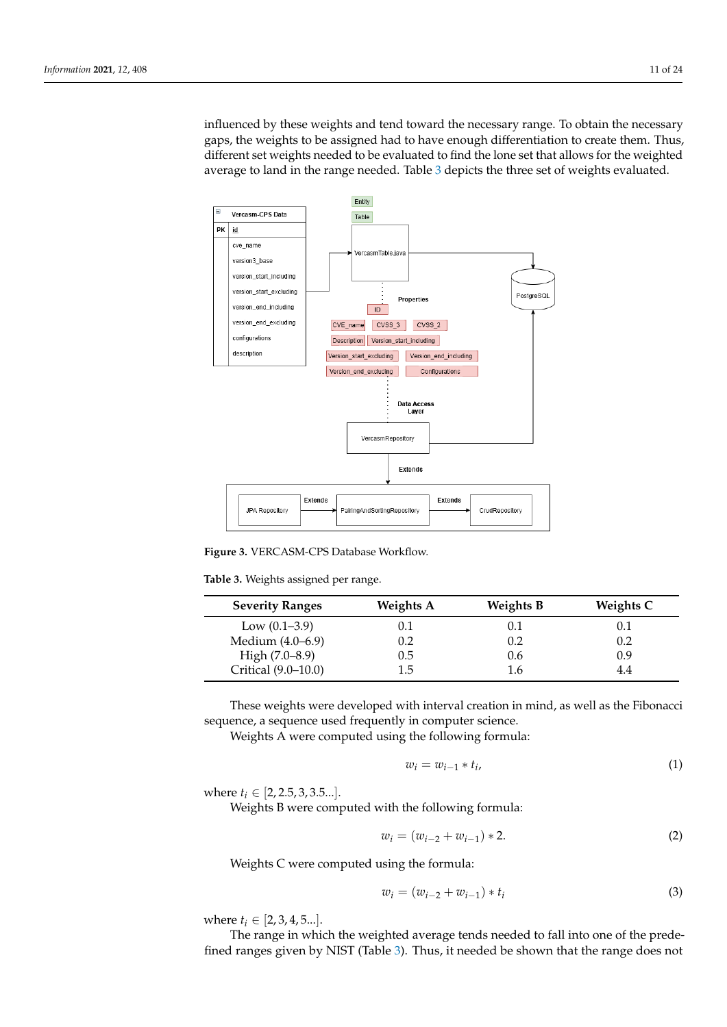influenced by these weights and tend toward the necessary range. To obtain the necessary gaps, the weights to be assigned had to have enough differentiation to create them. Thus, different set weights needed to be evaluated to find the lone set that allows for the weighted average to land in the range needed. Table [3](#page-10-1) depicts the three set of weights evaluated.

<span id="page-10-0"></span>

**Figure 3.** VERCASM-CPS Database Workflow.

<span id="page-10-1"></span>**Table 3.** Weights assigned per range.

| <b>Severity Ranges</b> | <b>Weights A</b> | <b>Weights B</b> | Weights C |
|------------------------|------------------|------------------|-----------|
| Low $(0.1-3.9)$        | 0.1              | 0.1              | 0.1       |
| Medium (4.0–6.9)       | 0.2              | 0.2              | 0.2       |
| High $(7.0-8.9)$       | 9.5              | 0.6              | 0.9       |
| Critical (9.0-10.0)    | 1.5              | 1.6              | 4.4       |

These weights were developed with interval creation in mind, as well as the Fibonacci sequence, a sequence used frequently in computer science.

Weights A were computed using the following formula:

$$
w_i = w_{i-1} * t_i, \tag{1}
$$

where  $t_i \in [2, 2.5, 3, 3.5...]$ .

Weights B were computed with the following formula:

$$
w_i = (w_{i-2} + w_{i-1}) * 2.
$$
 (2)

Weights C were computed using the formula:

$$
w_i = (w_{i-2} + w_{i-1}) * t_i
$$
\n(3)

where  $t_i \in [2, 3, 4, 5...]$ .

The range in which the weighted average tends needed to fall into one of the predefined ranges given by NIST (Table [3\)](#page-10-1). Thus, it needed be shown that the range does not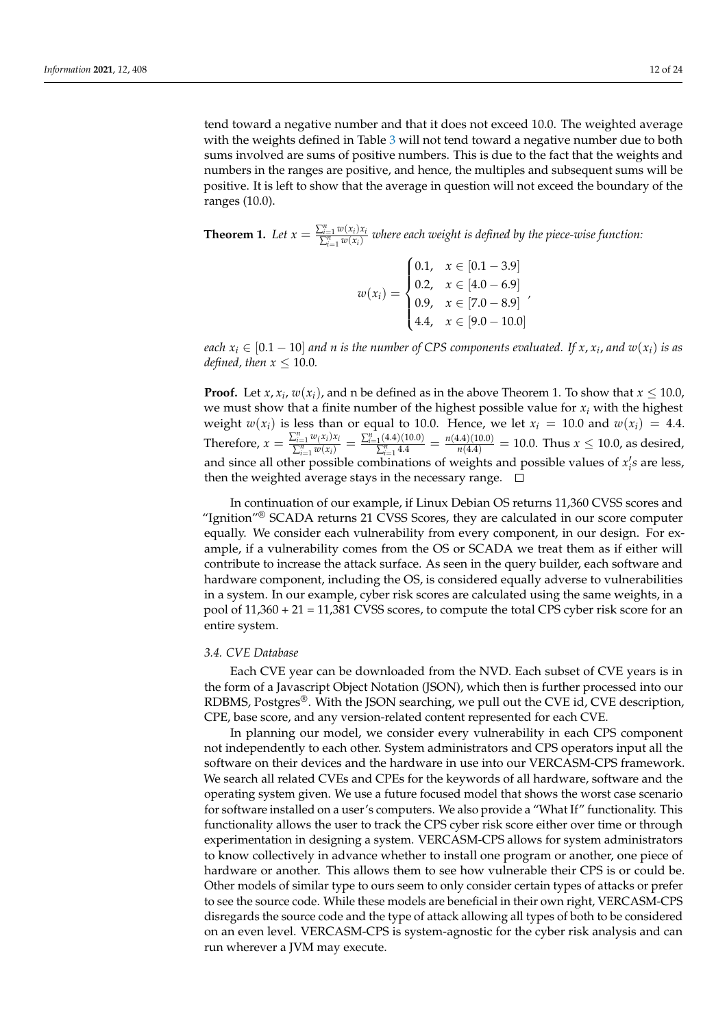tend toward a negative number and that it does not exceed 10.0. The weighted average with the weights defined in Table [3](#page-10-1) will not tend toward a negative number due to both sums involved are sums of positive numbers. This is due to the fact that the weights and numbers in the ranges are positive, and hence, the multiples and subsequent sums will be positive. It is left to show that the average in question will not exceed the boundary of the ranges (10.0).

**Theorem 1.** Let  $x = \frac{\sum_{i=1}^{n} w(x_i) x_i}{\sum_{i=1}^{n} w(x_i)}$  $\frac{\sum_{i=1}^{i=1} w(x_i) x_i}{\sum_{i=1}^{n} w(x_i)}$  where each weight is defined by the piece-wise function:

> $w(x_i) =$  $\sqrt{ }$  $\Big\}$  $\overline{\mathcal{L}}$ 0.1,  $x \in [0.1 - 3.9]$ 0.2,  $x \in [4.0 - 6.9]$ 0.9,  $x \in [7.0 - 8.9]$ 4.4,  $x \in [9.0 - 10.0]$ *,*

*each*  $x_i \in [0.1 - 10]$  *and n is the number of CPS components evaluated. If*  $x, x_i$ , *and*  $w(x_i)$  *is as defined, then*  $x \leq 10.0$ *.* 

**Proof.** Let *x*, *x*<sub>*i*</sub>, *w*(*x*<sub>*i*</sub>), and n be defined as in the above Theorem 1. To show that *x*  $\leq$  10.0, we must show that a finite number of the highest possible value for  $x_i$  with the highest weight  $w(x_i)$  is less than or equal to 10.0. Hence, we let  $x_i = 10.0$  and  $w(x_i) = 4.4$ . Therefore,  $x = \frac{\sum_{i=1}^{n} w(x_i) x_i}{\sum_{i=1}^{n} w(x_i)}$  $\frac{\sum_{i=1}^{n} w(x_i) x_i}{\sum_{i=1}^{n} w(x_i)} = \frac{\sum_{i=1}^{n} (4.4)(10.0)}{\sum_{i=1}^{n} 4.4}$  $\frac{n_{1}(4.4)(10.0)}{2^{n}_{i=1}4.4} = \frac{n(4.4)(10.0)}{n(4.4)} = 10.0$ . Thus  $x \le 10.0$ , as desired, and since all other possible combinations of weights and possible values of  $x_i$ 's are less, then the weighted average stays in the necessary range.  $\Box$ 

In continuation of our example, if Linux Debian OS returns 11,360 CVSS scores and "Ignition"<sup>®</sup> SCADA returns 21 CVSS Scores, they are calculated in our score computer equally. We consider each vulnerability from every component, in our design. For example, if a vulnerability comes from the OS or SCADA we treat them as if either will contribute to increase the attack surface. As seen in the query builder, each software and hardware component, including the OS, is considered equally adverse to vulnerabilities in a system. In our example, cyber risk scores are calculated using the same weights, in a pool of 11,360 + 21 = 11,381 CVSS scores, to compute the total CPS cyber risk score for an entire system.

### *3.4. CVE Database*

Each CVE year can be downloaded from the NVD. Each subset of CVE years is in the form of a Javascript Object Notation (JSON), which then is further processed into our RDBMS, Postgres®. With the JSON searching, we pull out the CVE id, CVE description, CPE, base score, and any version-related content represented for each CVE.

In planning our model, we consider every vulnerability in each CPS component not independently to each other. System administrators and CPS operators input all the software on their devices and the hardware in use into our VERCASM-CPS framework. We search all related CVEs and CPEs for the keywords of all hardware, software and the operating system given. We use a future focused model that shows the worst case scenario for software installed on a user's computers. We also provide a "What If" functionality. This functionality allows the user to track the CPS cyber risk score either over time or through experimentation in designing a system. VERCASM-CPS allows for system administrators to know collectively in advance whether to install one program or another, one piece of hardware or another. This allows them to see how vulnerable their CPS is or could be. Other models of similar type to ours seem to only consider certain types of attacks or prefer to see the source code. While these models are beneficial in their own right, VERCASM-CPS disregards the source code and the type of attack allowing all types of both to be considered on an even level. VERCASM-CPS is system-agnostic for the cyber risk analysis and can run wherever a JVM may execute.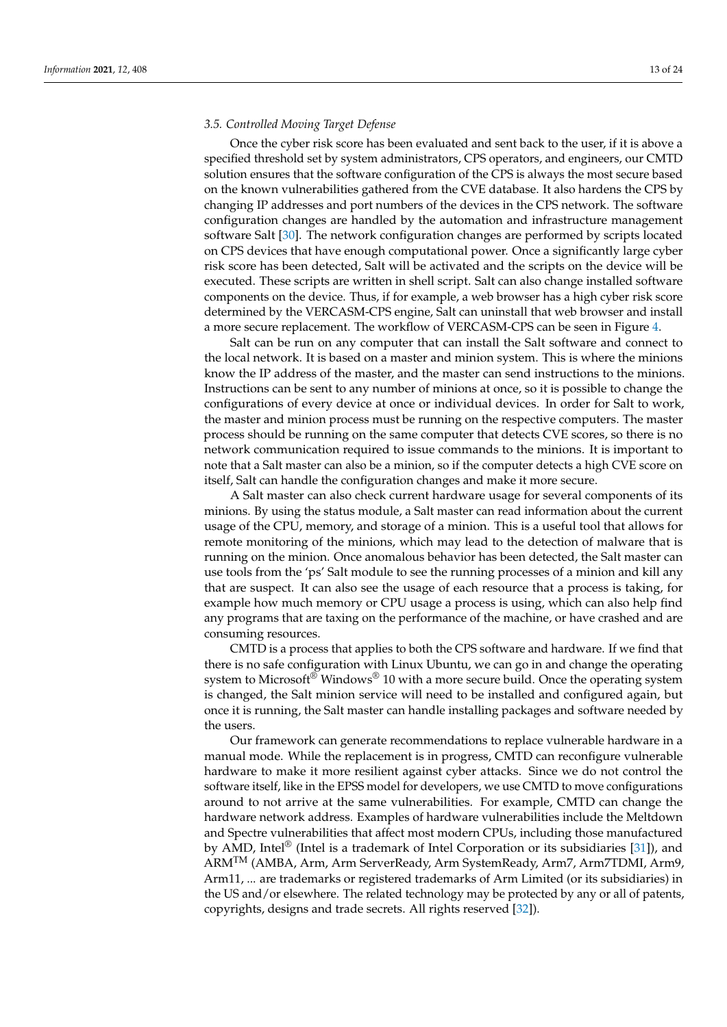# *3.5. Controlled Moving Target Defense*

Once the cyber risk score has been evaluated and sent back to the user, if it is above a specified threshold set by system administrators, CPS operators, and engineers, our CMTD solution ensures that the software configuration of the CPS is always the most secure based on the known vulnerabilities gathered from the CVE database. It also hardens the CPS by changing IP addresses and port numbers of the devices in the CPS network. The software configuration changes are handled by the automation and infrastructure management software Salt [\[30\]](#page-22-23). The network configuration changes are performed by scripts located on CPS devices that have enough computational power. Once a significantly large cyber risk score has been detected, Salt will be activated and the scripts on the device will be executed. These scripts are written in shell script. Salt can also change installed software components on the device. Thus, if for example, a web browser has a high cyber risk score determined by the VERCASM-CPS engine, Salt can uninstall that web browser and install a more secure replacement. The workflow of VERCASM-CPS can be seen in Figure [4.](#page-13-1)

Salt can be run on any computer that can install the Salt software and connect to the local network. It is based on a master and minion system. This is where the minions know the IP address of the master, and the master can send instructions to the minions. Instructions can be sent to any number of minions at once, so it is possible to change the configurations of every device at once or individual devices. In order for Salt to work, the master and minion process must be running on the respective computers. The master process should be running on the same computer that detects CVE scores, so there is no network communication required to issue commands to the minions. It is important to note that a Salt master can also be a minion, so if the computer detects a high CVE score on itself, Salt can handle the configuration changes and make it more secure.

A Salt master can also check current hardware usage for several components of its minions. By using the status module, a Salt master can read information about the current usage of the CPU, memory, and storage of a minion. This is a useful tool that allows for remote monitoring of the minions, which may lead to the detection of malware that is running on the minion. Once anomalous behavior has been detected, the Salt master can use tools from the 'ps' Salt module to see the running processes of a minion and kill any that are suspect. It can also see the usage of each resource that a process is taking, for example how much memory or CPU usage a process is using, which can also help find any programs that are taxing on the performance of the machine, or have crashed and are consuming resources.

CMTD is a process that applies to both the CPS software and hardware. If we find that there is no safe configuration with Linux Ubuntu, we can go in and change the operating system to Microsoft® Windows® 10 with a more secure build. Once the operating system is changed, the Salt minion service will need to be installed and configured again, but once it is running, the Salt master can handle installing packages and software needed by the users.

Our framework can generate recommendations to replace vulnerable hardware in a manual mode. While the replacement is in progress, CMTD can reconfigure vulnerable hardware to make it more resilient against cyber attacks. Since we do not control the software itself, like in the EPSS model for developers, we use CMTD to move configurations around to not arrive at the same vulnerabilities. For example, CMTD can change the hardware network address. Examples of hardware vulnerabilities include the Meltdown and Spectre vulnerabilities that affect most modern CPUs, including those manufactured by AMD, Intel<sup>®</sup> (Intel is a trademark of Intel Corporation or its subsidiaries [\[31\]](#page-22-24)), and ARMTM (AMBA, Arm, Arm ServerReady, Arm SystemReady, Arm7, Arm7TDMI, Arm9, Arm11, ... are trademarks or registered trademarks of Arm Limited (or its subsidiaries) in the US and/or elsewhere. The related technology may be protected by any or all of patents, copyrights, designs and trade secrets. All rights reserved [\[32\]](#page-22-25)).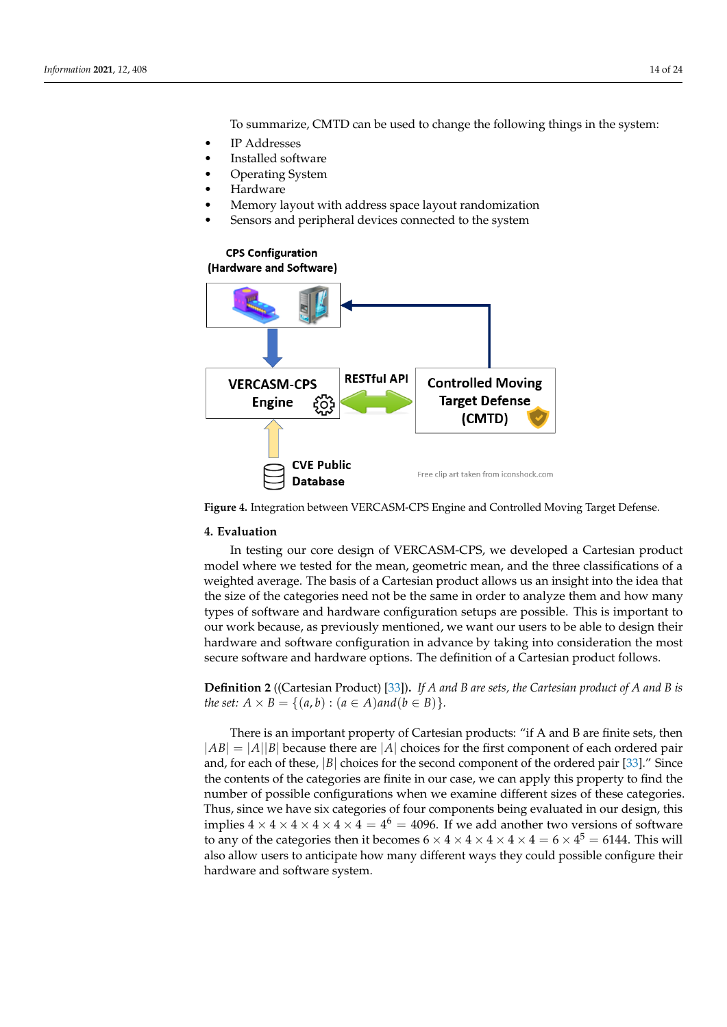To summarize, CMTD can be used to change the following things in the system:

- IP Addresses
- Installed software
- Operating System
- **Hardware**
- Memory layout with address space layout randomization
- Sensors and peripheral devices connected to the system

# <span id="page-13-1"></span>**CPS Configuration**



**Figure 4.** Integration between VERCASM-CPS Engine and Controlled Moving Target Defense.

# <span id="page-13-0"></span>**4. Evaluation**

In testing our core design of VERCASM-CPS, we developed a Cartesian product model where we tested for the mean, geometric mean, and the three classifications of a weighted average. The basis of a Cartesian product allows us an insight into the idea that the size of the categories need not be the same in order to analyze them and how many types of software and hardware configuration setups are possible. This is important to our work because, as previously mentioned, we want our users to be able to design their hardware and software configuration in advance by taking into consideration the most secure software and hardware options. The definition of a Cartesian product follows.

**Definition 2** ((Cartesian Product) [\[33\]](#page-22-26))**.** *If A and B are sets, the Cartesian product of A and B is the set:*  $A \times B = \{(a, b) : (a \in A) \text{ and } (b \in B)\}.$ 

There is an important property of Cartesian products: "if A and B are finite sets, then  $|AB| = |A||B|$  because there are |A| choices for the first component of each ordered pair and, for each of these, |*B*| choices for the second component of the ordered pair [\[33\]](#page-22-26)." Since the contents of the categories are finite in our case, we can apply this property to find the number of possible configurations when we examine different sizes of these categories. Thus, since we have six categories of four components being evaluated in our design, this implies 4  $\times$  4  $\times$  4  $\times$  4  $\times$  4  $\times$  4 = 4<sup>6</sup> = 4096. If we add another two versions of software to any of the categories then it becomes  $6 \times 4 \times 4 \times 4 \times 4 \times 4 = 6 \times 4^5 = 6144$ . This will also allow users to anticipate how many different ways they could possible configure their hardware and software system.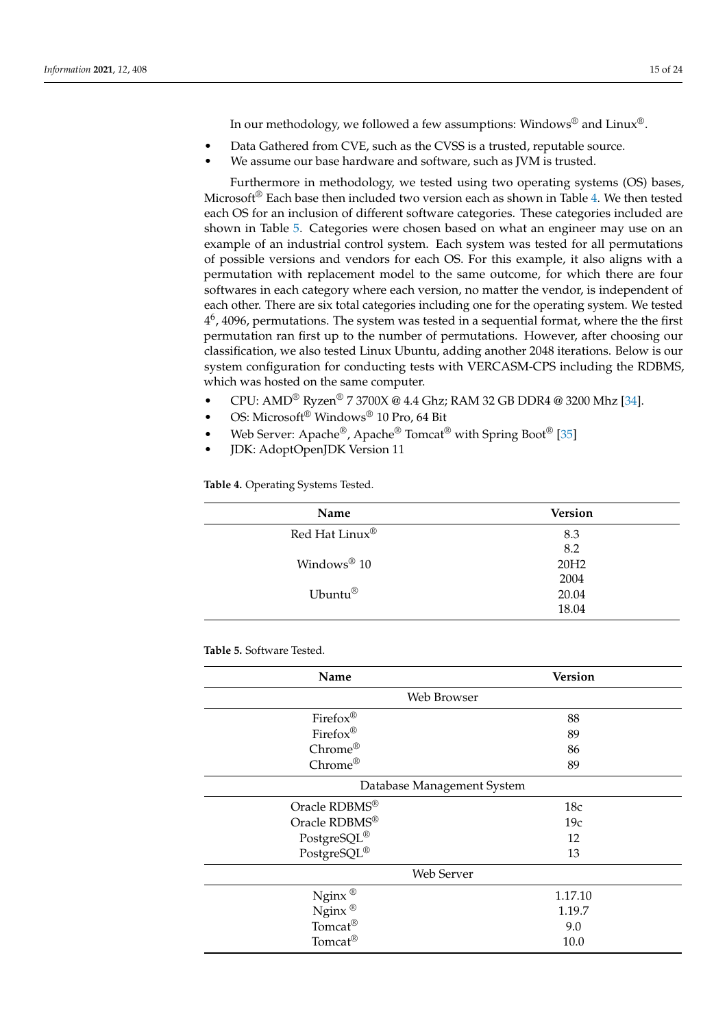In our methodology, we followed a few assumptions: Windows® and Linux®.

- Data Gathered from CVE, such as the CVSS is a trusted, reputable source.
- We assume our base hardware and software, such as JVM is trusted.

Furthermore in methodology, we tested using two operating systems (OS) bases, Microsoft<sup>®</sup> Each base then included two version each as shown in Table [4.](#page-14-0) We then tested each OS for an inclusion of different software categories. These categories included are shown in Table [5.](#page-15-0) Categories were chosen based on what an engineer may use on an example of an industrial control system. Each system was tested for all permutations of possible versions and vendors for each OS. For this example, it also aligns with a permutation with replacement model to the same outcome, for which there are four softwares in each category where each version, no matter the vendor, is independent of each other. There are six total categories including one for the operating system. We tested  $4<sup>6</sup>$ , 4096, permutations. The system was tested in a sequential format, where the the first permutation ran first up to the number of permutations. However, after choosing our classification, we also tested Linux Ubuntu, adding another 2048 iterations. Below is our system configuration for conducting tests with VERCASM-CPS including the RDBMS, which was hosted on the same computer.

- CPU: AMD® Ryzen® 7 3700X @ 4.4 Ghz; RAM 32 GB DDR4 @ 3200 Mhz [\[34\]](#page-22-27).
- OS: Microsoft® Windows® 10 Pro, 64 Bit
- Web Server: Apache<sup>®</sup>, Apache<sup>®</sup> Tomcat<sup>®</sup> with Spring Boot<sup>®</sup> [\[35\]](#page-22-28)
- JDK: AdoptOpenJDK Version 11

<span id="page-14-0"></span>

| Table 4. Operating Systems Tested. |
|------------------------------------|
|                                    |

| Name                       | <b>Version</b>   |
|----------------------------|------------------|
| Red Hat Linux <sup>®</sup> | 8.3              |
|                            | 8.2              |
| Windows® 10                | 20H <sub>2</sub> |
|                            | 2004             |
| Ubuntu®                    | 20.04            |
|                            | 18.04            |

### **Table 5.** Software Tested.

| Name                                                                                        | <b>Version</b> |  |  |
|---------------------------------------------------------------------------------------------|----------------|--|--|
| Web Browser                                                                                 |                |  |  |
| Firefox®                                                                                    | 88             |  |  |
| Firefox®                                                                                    | 89             |  |  |
| Chrome®                                                                                     | 86             |  |  |
| Chrome®                                                                                     | 89             |  |  |
| Database Management System                                                                  |                |  |  |
| Oracle RDBMS®                                                                               | 18c            |  |  |
| Oracle RDBMS®                                                                               | 19c            |  |  |
|                                                                                             | 12             |  |  |
| $\begin{array}{l} {\rm PostgreSQL}^{\circledR} \\ {\rm PostgreSQL}^{\circledR} \end{array}$ | 13             |  |  |
| Web Server                                                                                  |                |  |  |
| Nginx $^\circledR$                                                                          | 1.17.10        |  |  |
| $Nginx$ <sup>®</sup>                                                                        | 1.19.7         |  |  |
| Tomcat <sup>®</sup>                                                                         | 9.0            |  |  |
| Tomcat <sup>®</sup>                                                                         | 10.0           |  |  |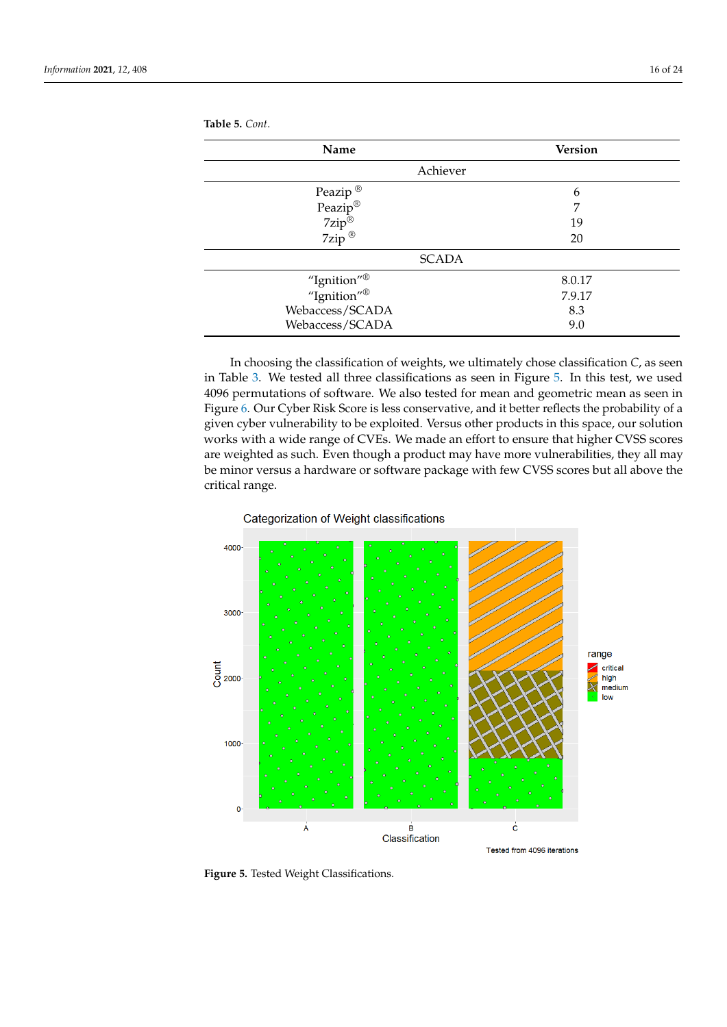| Name                                                                                 | <b>Version</b> |
|--------------------------------------------------------------------------------------|----------------|
| Achiever                                                                             |                |
|                                                                                      | 6              |
|                                                                                      | 7              |
|                                                                                      | 19             |
| Peazip <sup>®</sup><br>Peazip <sup>®</sup><br>7zip <sup>®</sup><br>7zip <sup>®</sup> | 20             |
| <b>SCADA</b>                                                                         |                |
| "Ignition" <sup>®</sup><br>"Ignition" <sup>®</sup>                                   | 8.0.17         |
|                                                                                      | 7.9.17         |
| Webaccess/SCADA                                                                      | 8.3            |
| Webaccess/SCADA                                                                      | 9.0            |
|                                                                                      |                |

<span id="page-15-0"></span>**Table 5.** *Cont*.

In choosing the classification of weights, we ultimately chose classification *C*, as seen in Table [3.](#page-10-1) We tested all three classifications as seen in Figure [5.](#page-15-1) In this test, we used 4096 permutations of software. We also tested for mean and geometric mean as seen in Figure [6.](#page-16-0) Our Cyber Risk Score is less conservative, and it better reflects the probability of a given cyber vulnerability to be exploited. Versus other products in this space, our solution works with a wide range of CVEs. We made an effort to ensure that higher CVSS scores are weighted as such. Even though a product may have more vulnerabilities, they all may be minor versus a hardware or software package with few CVSS scores but all above the critical range.

### Categorization of Weight classifications

<span id="page-15-1"></span>

**Figure 5.** Tested Weight Classifications.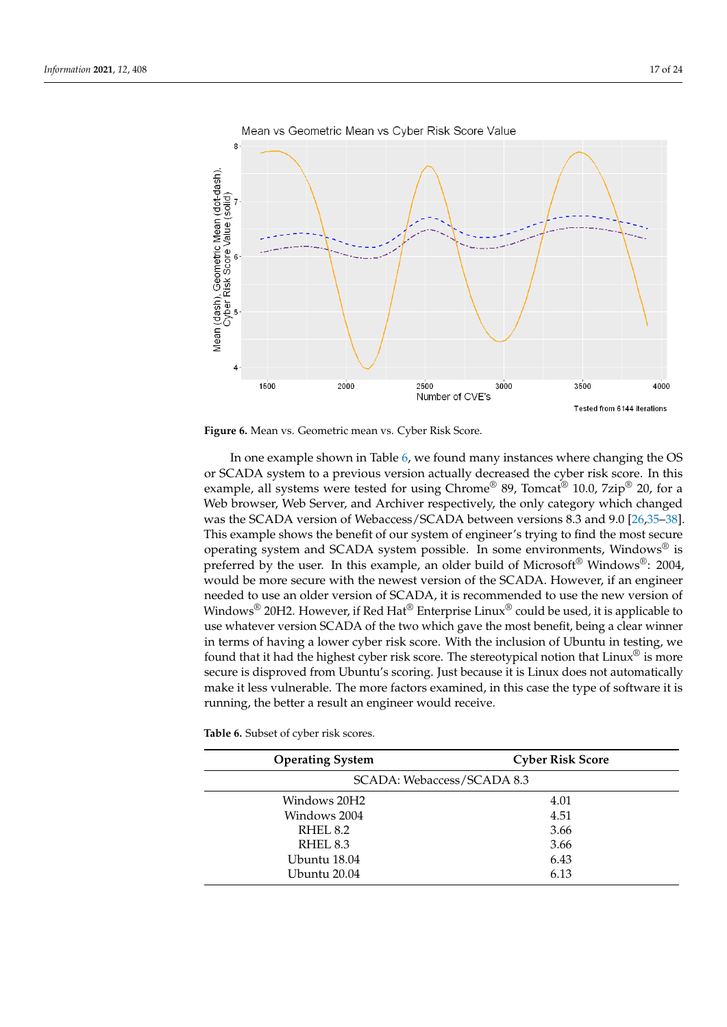<span id="page-16-0"></span>



In one example shown in Table [6,](#page-17-0) we found many instances where changing the OS or SCADA system to a previous version actually decreased the cyber risk score. In this example, all systems were tested for using Chrome® 89, Tomcat<sup>®</sup> 10.0, 7zip<sup>®</sup> 20, for a Web browser, Web Server, and Archiver respectively, the only category which changed was the SCADA version of Webaccess/SCADA between versions 8.3 and 9.0 [\[26,](#page-22-19)[35](#page-22-28)[–38\]](#page-23-0). This example shows the benefit of our system of engineer's trying to find the most secure operating system and SCADA system possible. In some environments, Windows® is preferred by the user. In this example, an older build of Microsoft® Windows®: 2004, would be more secure with the newest version of the SCADA. However, if an engineer needed to use an older version of SCADA, it is recommended to use the new version of Windows<sup>®</sup> 20H2. However, if Red Hat<sup>®</sup> Enterprise Linux<sup>®</sup> could be used, it is applicable to use whatever version SCADA of the two which gave the most benefit, being a clear winner in terms of having a lower cyber risk score. With the inclusion of Ubuntu in testing, we found that it had the highest cyber risk score. The stereotypical notion that Linux<sup>®</sup> is more secure is disproved from Ubuntu's scoring. Just because it is Linux does not automatically make it less vulnerable. The more factors examined, in this case the type of software it is running, the better a result an engineer would receive.

**Table 6.** Subset of cyber risk scores.

| <b>Operating System</b>    | <b>Cyber Risk Score</b> |
|----------------------------|-------------------------|
| SCADA: Webaccess/SCADA 8.3 |                         |
| Windows 20H2               | 4.01                    |
| Windows 2004               | 4.51                    |
| RHEL <sub>8.2</sub>        | 3.66                    |
| RHEL <sub>8.3</sub>        | 3.66                    |
| Ubuntu 18.04               | 6.43                    |
| Ubuntu 20.04               | 6.13                    |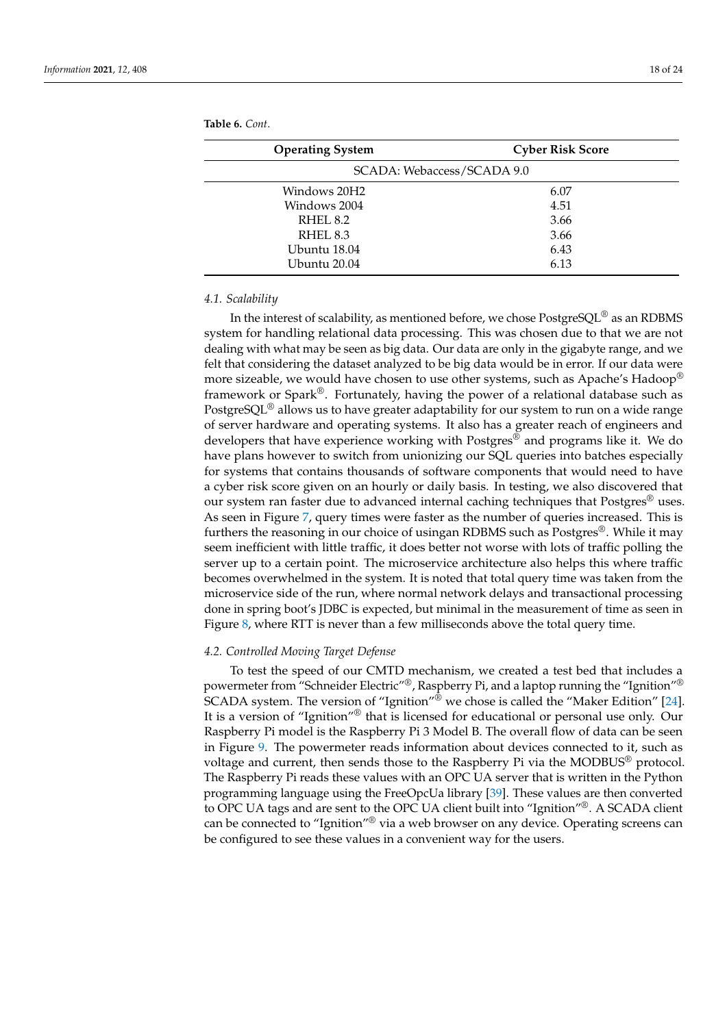| <b>Operating System</b>    | <b>Cyber Risk Score</b> |  |
|----------------------------|-------------------------|--|
| SCADA: Webaccess/SCADA 9.0 |                         |  |
| Windows 20H2               | 6.07                    |  |
| Windows 2004               | 4.51                    |  |
| RHEL 8.2                   | 3.66                    |  |
| RHEL 8.3                   | 3.66                    |  |
| Ubuntu 18.04               | 6.43                    |  |
| Ubuntu 20.04               | 6.13                    |  |
|                            |                         |  |

<span id="page-17-0"></span>**Table 6.** *Cont*.

### *4.1. Scalability*

In the interest of scalability, as mentioned before, we chose PostgreSQL® as an RDBMS system for handling relational data processing. This was chosen due to that we are not dealing with what may be seen as big data. Our data are only in the gigabyte range, and we felt that considering the dataset analyzed to be big data would be in error. If our data were more sizeable, we would have chosen to use other systems, such as Apache's Hadoop® framework or Spark®. Fortunately, having the power of a relational database such as PostgreSQL<sup>®</sup> allows us to have greater adaptability for our system to run on a wide range of server hardware and operating systems. It also has a greater reach of engineers and developers that have experience working with Postgres® and programs like it. We do have plans however to switch from unionizing our SQL queries into batches especially for systems that contains thousands of software components that would need to have a cyber risk score given on an hourly or daily basis. In testing, we also discovered that our system ran faster due to advanced internal caching techniques that Postgres® uses. As seen in Figure [7,](#page-18-0) query times were faster as the number of queries increased. This is furthers the reasoning in our choice of usingan RDBMS such as Postgres®. While it may seem inefficient with little traffic, it does better not worse with lots of traffic polling the server up to a certain point. The microservice architecture also helps this where traffic becomes overwhelmed in the system. It is noted that total query time was taken from the microservice side of the run, where normal network delays and transactional processing done in spring boot's JDBC is expected, but minimal in the measurement of time as seen in Figure [8,](#page-18-1) where RTT is never than a few milliseconds above the total query time.

### *4.2. Controlled Moving Target Defense*

To test the speed of our CMTD mechanism, we created a test bed that includes a powermeter from "Schneider Electric"®, Raspberry Pi, and a laptop running the "Ignition"® SCADA system. The version of "Ignition"<sup>®</sup> we chose is called the "Maker Edition" [\[24\]](#page-22-17). It is a version of "Ignition"® that is licensed for educational or personal use only. Our Raspberry Pi model is the Raspberry Pi 3 Model B. The overall flow of data can be seen in Figure [9.](#page-19-0) The powermeter reads information about devices connected to it, such as voltage and current, then sends those to the Raspberry Pi via the MODBUS® protocol. The Raspberry Pi reads these values with an OPC UA server that is written in the Python programming language using the FreeOpcUa library [\[39\]](#page-23-1). These values are then converted to OPC UA tags and are sent to the OPC UA client built into "Ignition"®. A SCADA client can be connected to "Ignition"® via a web browser on any device. Operating screens can be configured to see these values in a convenient way for the users.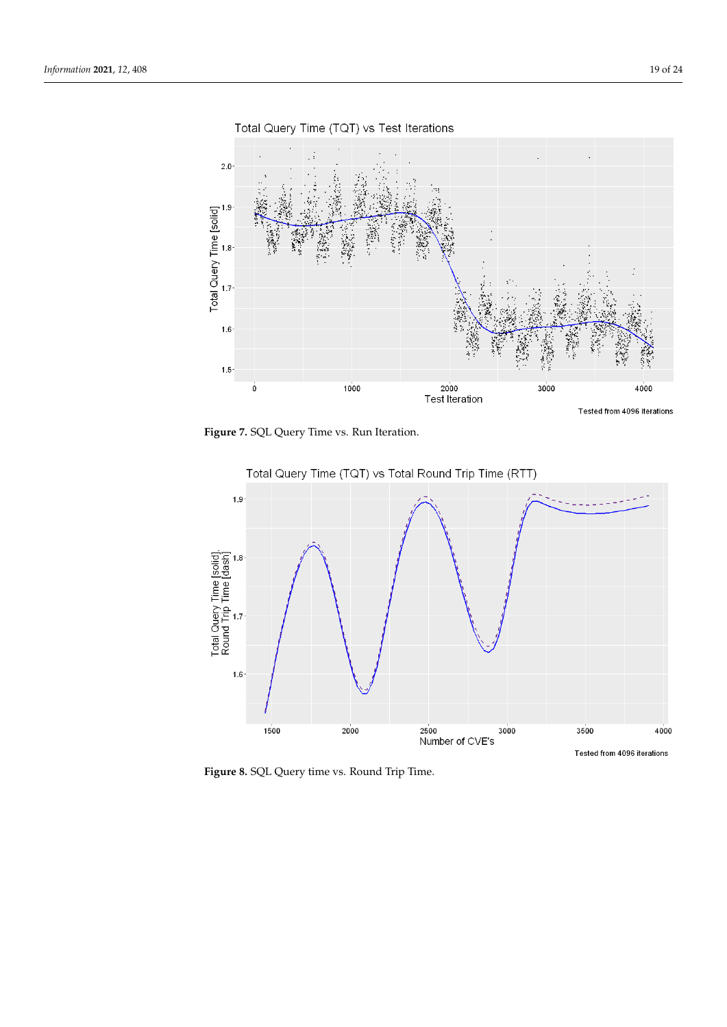<span id="page-18-0"></span>

Total Query Time (TQT) vs Test Iterations

**Figure 7.** SQL Query Time vs. Run Iteration.

<span id="page-18-1"></span>

**Figure 8.** SQL Query time vs. Round Trip Time.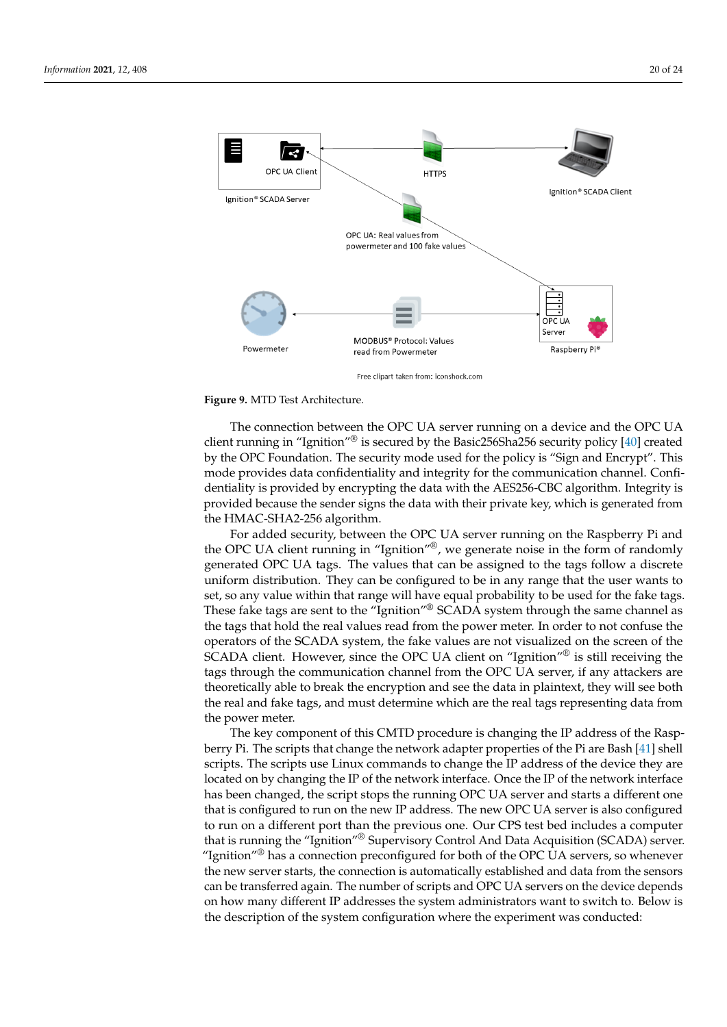<span id="page-19-0"></span>

### **Figure 9.** MTD Test Architecture.

The connection between the OPC UA server running on a device and the OPC UA client running in "Ignition"<sup>®</sup> is secured by the Basic256Sha256 security policy [\[40\]](#page-23-2) created by the OPC Foundation. The security mode used for the policy is "Sign and Encrypt". This mode provides data confidentiality and integrity for the communication channel. Confidentiality is provided by encrypting the data with the AES256-CBC algorithm. Integrity is provided because the sender signs the data with their private key, which is generated from the HMAC-SHA2-256 algorithm.

For added security, between the OPC UA server running on the Raspberry Pi and the OPC UA client running in "Ignition"®, we generate noise in the form of randomly generated OPC UA tags. The values that can be assigned to the tags follow a discrete uniform distribution. They can be configured to be in any range that the user wants to set, so any value within that range will have equal probability to be used for the fake tags. These fake tags are sent to the "Ignition"® SCADA system through the same channel as the tags that hold the real values read from the power meter. In order to not confuse the operators of the SCADA system, the fake values are not visualized on the screen of the SCADA client. However, since the OPC UA client on "Ignition"<sup>®</sup> is still receiving the tags through the communication channel from the OPC UA server, if any attackers are theoretically able to break the encryption and see the data in plaintext, they will see both the real and fake tags, and must determine which are the real tags representing data from the power meter.

The key component of this CMTD procedure is changing the IP address of the Raspberry Pi. The scripts that change the network adapter properties of the Pi are Bash [\[41\]](#page-23-3) shell scripts. The scripts use Linux commands to change the IP address of the device they are located on by changing the IP of the network interface. Once the IP of the network interface has been changed, the script stops the running OPC UA server and starts a different one that is configured to run on the new IP address. The new OPC UA server is also configured to run on a different port than the previous one. Our CPS test bed includes a computer that is running the "Ignition"® Supervisory Control And Data Acquisition (SCADA) server. "Ignition"<sup>®</sup> has a connection preconfigured for both of the OPC UA servers, so whenever the new server starts, the connection is automatically established and data from the sensors can be transferred again. The number of scripts and OPC UA servers on the device depends on how many different IP addresses the system administrators want to switch to. Below is the description of the system configuration where the experiment was conducted: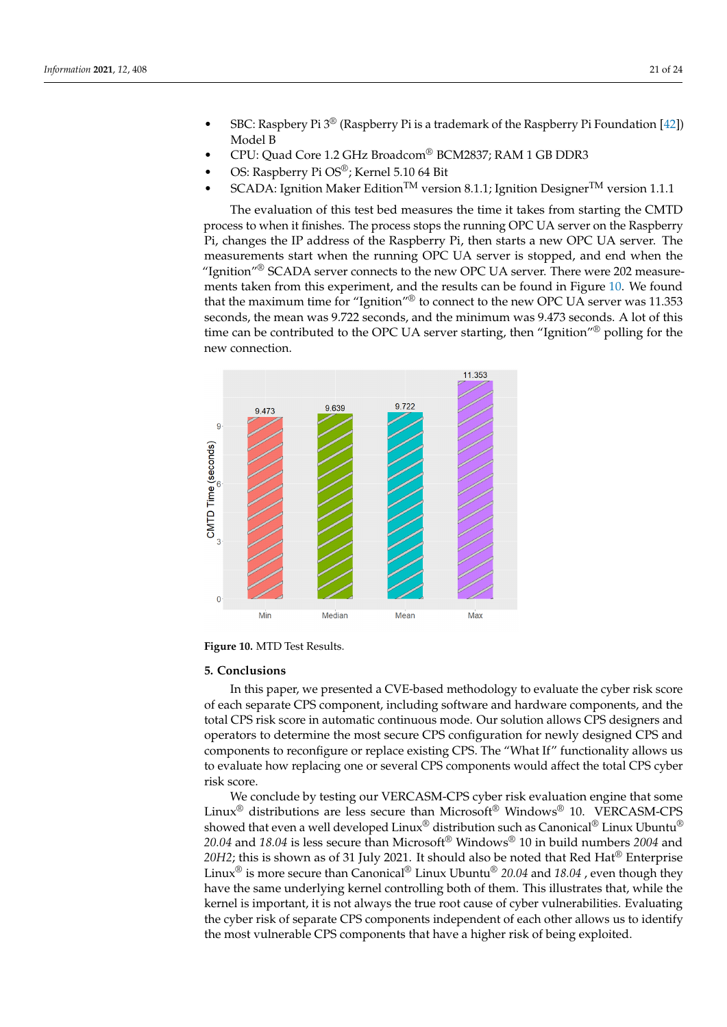- SBC: Raspbery Pi 3® (Raspberry Pi is a trademark of the Raspberry Pi Foundation [\[42\]](#page-23-4)) Model B
- CPU: Quad Core 1.2 GHz Broadcom® BCM2837; RAM 1 GB DDR3
- OS: Raspberry Pi OS®; Kernel 5.10 64 Bit
- SCADA: Ignition Maker Edition<sup>TM</sup> version 8.1.1; Ignition Designer<sup>TM</sup> version 1.1.1

The evaluation of this test bed measures the time it takes from starting the CMTD process to when it finishes. The process stops the running OPC UA server on the Raspberry Pi, changes the IP address of the Raspberry Pi, then starts a new OPC UA server. The measurements start when the running OPC UA server is stopped, and end when the "Ignition" $^{\circledR}$  SCADA server connects to the new OPC UA server. There were 202 measurements taken from this experiment, and the results can be found in Figure [10.](#page-20-1) We found that the maximum time for "Ignition"® to connect to the new OPC UA server was 11.353 seconds, the mean was 9.722 seconds, and the minimum was 9.473 seconds. A lot of this time can be contributed to the OPC UA server starting, then "Ignition"<sup>®</sup> polling for the new connection.

<span id="page-20-1"></span>

**Figure 10.** MTD Test Results.

### <span id="page-20-0"></span>**5. Conclusions**

In this paper, we presented a CVE-based methodology to evaluate the cyber risk score of each separate CPS component, including software and hardware components, and the total CPS risk score in automatic continuous mode. Our solution allows CPS designers and operators to determine the most secure CPS configuration for newly designed CPS and components to reconfigure or replace existing CPS. The "What If" functionality allows us to evaluate how replacing one or several CPS components would affect the total CPS cyber risk score.

We conclude by testing our VERCASM-CPS cyber risk evaluation engine that some Linux<sup>®</sup> distributions are less secure than Microsoft<sup>®</sup> Windows<sup>®</sup> 10. VERCASM-CPS showed that even a well developed  $\text{Linux}^{\circledR}$  distribution such as Canonical<sup>®</sup> Linux Ubuntu<sup>®</sup> *20.04* and *18.04* is less secure than Microsoft® Windows® 10 in build numbers *2004* and *20H2*; this is shown as of 31 July 2021. It should also be noted that Red Hat® Enterprise Linux® is more secure than Canonical® Linux Ubuntu® *20.04* and *18.04* , even though they have the same underlying kernel controlling both of them. This illustrates that, while the kernel is important, it is not always the true root cause of cyber vulnerabilities. Evaluating the cyber risk of separate CPS components independent of each other allows us to identify the most vulnerable CPS components that have a higher risk of being exploited.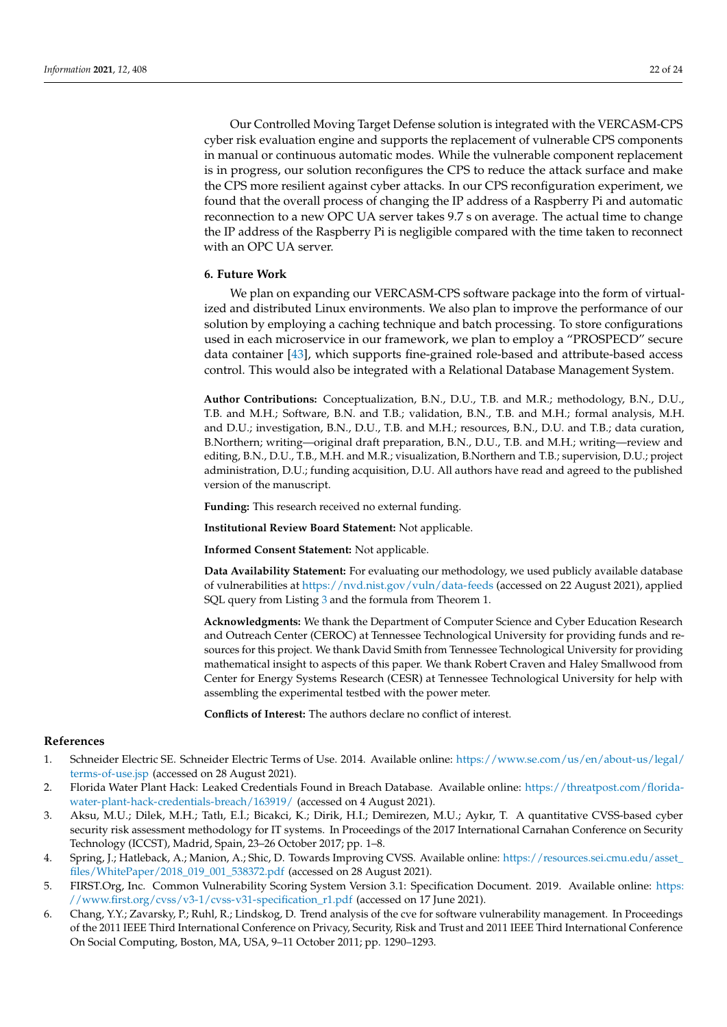Our Controlled Moving Target Defense solution is integrated with the VERCASM-CPS cyber risk evaluation engine and supports the replacement of vulnerable CPS components in manual or continuous automatic modes. While the vulnerable component replacement is in progress, our solution reconfigures the CPS to reduce the attack surface and make the CPS more resilient against cyber attacks. In our CPS reconfiguration experiment, we found that the overall process of changing the IP address of a Raspberry Pi and automatic reconnection to a new OPC UA server takes 9.7 s on average. The actual time to change the IP address of the Raspberry Pi is negligible compared with the time taken to reconnect with an OPC UA server.

# <span id="page-21-2"></span>**6. Future Work**

We plan on expanding our VERCASM-CPS software package into the form of virtualized and distributed Linux environments. We also plan to improve the performance of our solution by employing a caching technique and batch processing. To store configurations used in each microservice in our framework, we plan to employ a "PROSPECD" secure data container [\[43\]](#page-23-5), which supports fine-grained role-based and attribute-based access control. This would also be integrated with a Relational Database Management System.

**Author Contributions:** Conceptualization, B.N., D.U., T.B. and M.R.; methodology, B.N., D.U., T.B. and M.H.; Software, B.N. and T.B.; validation, B.N., T.B. and M.H.; formal analysis, M.H. and D.U.; investigation, B.N., D.U., T.B. and M.H.; resources, B.N., D.U. and T.B.; data curation, B.Northern; writing—original draft preparation, B.N., D.U., T.B. and M.H.; writing—review and editing, B.N., D.U., T.B., M.H. and M.R.; visualization, B.Northern and T.B.; supervision, D.U.; project administration, D.U.; funding acquisition, D.U. All authors have read and agreed to the published version of the manuscript.

**Funding:** This research received no external funding.

**Institutional Review Board Statement:** Not applicable.

**Informed Consent Statement:** Not applicable.

**Data Availability Statement:** For evaluating our methodology, we used publicly available database of vulnerabilities at <https://nvd.nist.gov/vuln/data-feeds> (accessed on 22 August 2021), applied SQL query from Listing [3](#page-8-0) and the formula from Theorem 1.

**Acknowledgments:** We thank the Department of Computer Science and Cyber Education Research and Outreach Center (CEROC) at Tennessee Technological University for providing funds and resources for this project. We thank David Smith from Tennessee Technological University for providing mathematical insight to aspects of this paper. We thank Robert Craven and Haley Smallwood from Center for Energy Systems Research (CESR) at Tennessee Technological University for help with assembling the experimental testbed with the power meter.

**Conflicts of Interest:** The authors declare no conflict of interest.

### **References**

- <span id="page-21-0"></span>1. Schneider Electric SE. Schneider Electric Terms of Use. 2014. Available online: [https://www.se.com/us/en/about-us/legal/](https://www.se.com/us/en/about-us/legal/terms-of-use.jsp) [terms-of-use.jsp](https://www.se.com/us/en/about-us/legal/terms-of-use.jsp) (accessed on 28 August 2021).
- <span id="page-21-1"></span>2. Florida Water Plant Hack: Leaked Credentials Found in Breach Database. Available online: [https://threatpost.com/florida](https://threatpost.com/florida-water-plant-hack-credentials-breach/163919/)[water-plant-hack-credentials-breach/163919/](https://threatpost.com/florida-water-plant-hack-credentials-breach/163919/) (accessed on 4 August 2021).
- <span id="page-21-3"></span>3. Aksu, M.U.; Dilek, M.H.; Tatlı, E.˙I.; Bicakci, K.; Dirik, H.I.; Demirezen, M.U.; Aykır, T. A quantitative CVSS-based cyber security risk assessment methodology for IT systems. In Proceedings of the 2017 International Carnahan Conference on Security Technology (ICCST), Madrid, Spain, 23–26 October 2017; pp. 1–8.
- <span id="page-21-4"></span>4. Spring, J.; Hatleback, A.; Manion, A.; Shic, D. Towards Improving CVSS. Available online: [https://resources.sei.cmu.edu/asset\\_](https://resources.sei.cmu.edu/asset_files/WhitePaper/2018_019_001_538372.pdf) [files/WhitePaper/2018\\_019\\_001\\_538372.pdf](https://resources.sei.cmu.edu/asset_files/WhitePaper/2018_019_001_538372.pdf) (accessed on 28 August 2021).
- <span id="page-21-5"></span>5. FIRST.Org, Inc. Common Vulnerability Scoring System Version 3.1: Specification Document. 2019. Available online: [https:](https://www.first.org/cvss/v3-1/cvss-v31-specification_r1.pdf) [//www.first.org/cvss/v3-1/cvss-v31-specification\\_r1.pdf](https://www.first.org/cvss/v3-1/cvss-v31-specification_r1.pdf) (accessed on 17 June 2021).
- <span id="page-21-6"></span>6. Chang, Y.Y.; Zavarsky, P.; Ruhl, R.; Lindskog, D. Trend analysis of the cve for software vulnerability management. In Proceedings of the 2011 IEEE Third International Conference on Privacy, Security, Risk and Trust and 2011 IEEE Third International Conference On Social Computing, Boston, MA, USA, 9–11 October 2011; pp. 1290–1293.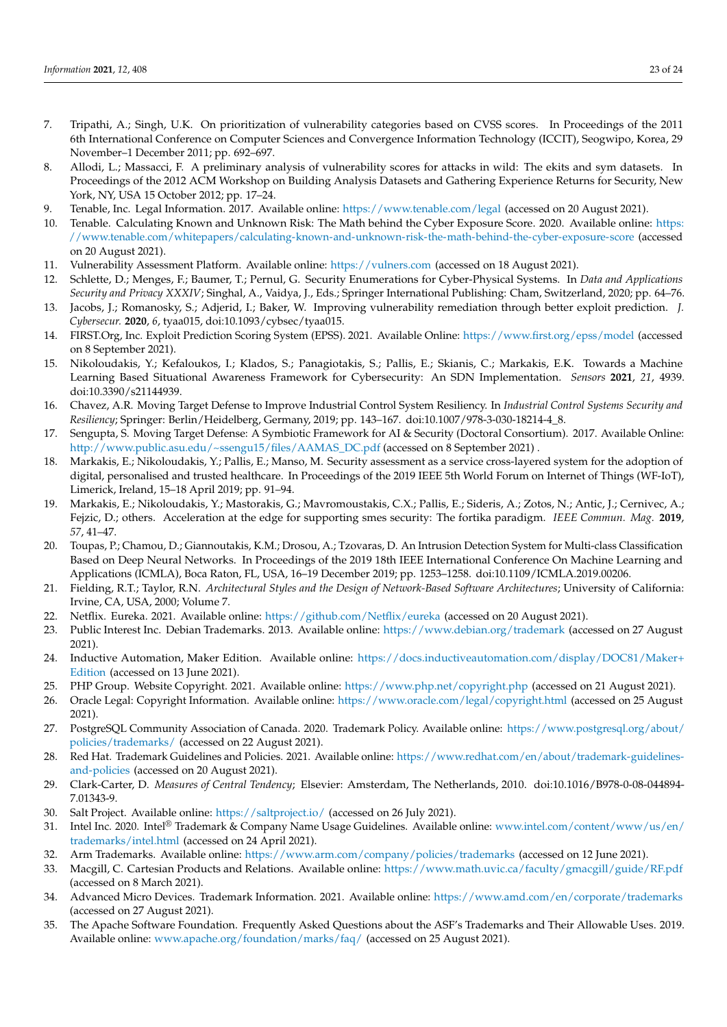- <span id="page-22-0"></span>7. Tripathi, A.; Singh, U.K. On prioritization of vulnerability categories based on CVSS scores. In Proceedings of the 2011 6th International Conference on Computer Sciences and Convergence Information Technology (ICCIT), Seogwipo, Korea, 29 November–1 December 2011; pp. 692–697.
- <span id="page-22-1"></span>8. Allodi, L.; Massacci, F. A preliminary analysis of vulnerability scores for attacks in wild: The ekits and sym datasets. In Proceedings of the 2012 ACM Workshop on Building Analysis Datasets and Gathering Experience Returns for Security, New York, NY, USA 15 October 2012; pp. 17–24.
- <span id="page-22-2"></span>9. Tenable, Inc. Legal Information. 2017. Available online: <https://www.tenable.com/legal> (accessed on 20 August 2021).
- <span id="page-22-3"></span>10. Tenable. Calculating Known and Unknown Risk: The Math behind the Cyber Exposure Score. 2020. Available online: [https:](https://www.tenable.com/whitepapers/calculating-known-and-unknown-risk-the-math-behind-the-cyber-exposure-score) [//www.tenable.com/whitepapers/calculating-known-and-unknown-risk-the-math-behind-the-cyber-exposure-score](https://www.tenable.com/whitepapers/calculating-known-and-unknown-risk-the-math-behind-the-cyber-exposure-score) (accessed on 20 August 2021).
- <span id="page-22-4"></span>11. Vulnerability Assessment Platform. Available online: <https://vulners.com> (accessed on 18 August 2021).
- <span id="page-22-5"></span>12. Schlette, D.; Menges, F.; Baumer, T.; Pernul, G. Security Enumerations for Cyber-Physical Systems. In *Data and Applications Security and Privacy XXXIV*; Singhal, A., Vaidya, J., Eds.; Springer International Publishing: Cham, Switzerland, 2020; pp. 64–76.
- <span id="page-22-6"></span>13. Jacobs, J.; Romanosky, S.; Adjerid, I.; Baker, W. Improving vulnerability remediation through better exploit prediction. *J. Cybersecur.* **2020**, *6*, tyaa015, doi[:10.1093/cybsec/tyaa015.](https://doi.org/10.1093/cybsec/tyaa015)
- <span id="page-22-7"></span>14. FIRST.Org, Inc. Exploit Prediction Scoring System (EPSS). 2021. Available Online: <https://www.first.org/epss/model> (accessed on 8 September 2021).
- <span id="page-22-8"></span>15. Nikoloudakis, Y.; Kefaloukos, I.; Klados, S.; Panagiotakis, S.; Pallis, E.; Skianis, C.; Markakis, E.K. Towards a Machine Learning Based Situational Awareness Framework for Cybersecurity: An SDN Implementation. *Sensors* **2021**, *21*, 4939. doi[:10.3390/s21144939.](https://doi.org/10.3390/s21144939)
- <span id="page-22-9"></span>16. Chavez, A.R. Moving Target Defense to Improve Industrial Control System Resiliency. In *Industrial Control Systems Security and Resiliency*; Springer: Berlin/Heidelberg, Germany, 2019; pp. 143–167. doi[:10.1007/978-3-030-18214-4\\_8.](https://doi.org/10.1007/978-3-030-18214-4_8)
- <span id="page-22-10"></span>17. Sengupta, S. Moving Target Defense: A Symbiotic Framework for AI & Security (Doctoral Consortium). 2017. Available Online: [http://www.public.asu.edu/~ssengu15/files/AAMAS\\_DC.pdf](http://www.public.asu.edu/~ssengu15/files/AAMAS_DC.pdf) (accessed on 8 September 2021).
- <span id="page-22-11"></span>18. Markakis, E.; Nikoloudakis, Y.; Pallis, E.; Manso, M. Security assessment as a service cross-layered system for the adoption of digital, personalised and trusted healthcare. In Proceedings of the 2019 IEEE 5th World Forum on Internet of Things (WF-IoT), Limerick, Ireland, 15–18 April 2019; pp. 91–94.
- <span id="page-22-12"></span>19. Markakis, E.; Nikoloudakis, Y.; Mastorakis, G.; Mavromoustakis, C.X.; Pallis, E.; Sideris, A.; Zotos, N.; Antic, J.; Cernivec, A.; Fejzic, D.; others. Acceleration at the edge for supporting smes security: The fortika paradigm. *IEEE Commun. Mag.* **2019**, *57*, 41–47.
- <span id="page-22-13"></span>20. Toupas, P.; Chamou, D.; Giannoutakis, K.M.; Drosou, A.; Tzovaras, D. An Intrusion Detection System for Multi-class Classification Based on Deep Neural Networks. In Proceedings of the 2019 18th IEEE International Conference On Machine Learning and Applications (ICMLA), Boca Raton, FL, USA, 16–19 December 2019; pp. 1253–1258. doi[:10.1109/ICMLA.2019.00206.](https://doi.org/10.1109/ICMLA.2019.00206)
- <span id="page-22-14"></span>21. Fielding, R.T.; Taylor, R.N. *Architectural Styles and the Design of Network-Based Software Architectures*; University of California: Irvine, CA, USA, 2000; Volume 7.
- <span id="page-22-15"></span>22. Netflix. Eureka. 2021. Available online: <https://github.com/Netflix/eureka> (accessed on 20 August 2021).
- <span id="page-22-16"></span>23. Public Interest Inc. Debian Trademarks. 2013. Available online: <https://www.debian.org/trademark> (accessed on 27 August 2021).
- <span id="page-22-17"></span>24. Inductive Automation, Maker Edition. Available online: [https://docs.inductiveautomation.com/display/DOC81/Maker+](https://docs.inductiveautomation.com/display/DOC81/Maker+Edition) [Edition](https://docs.inductiveautomation.com/display/DOC81/Maker+Edition) (accessed on 13 June 2021).
- <span id="page-22-18"></span>25. PHP Group. Website Copyright. 2021. Available online: <https://www.php.net/copyright.php> (accessed on 21 August 2021).
- <span id="page-22-19"></span>26. Oracle Legal: Copyright Information. Available online: <https://www.oracle.com/legal/copyright.html> (accessed on 25 August 2021).
- <span id="page-22-20"></span>27. PostgreSQL Community Association of Canada. 2020. Trademark Policy. Available online: [https://www.postgresql.org/about/](https://www.postgresql.org/about/policies/trademarks/) [policies/trademarks/](https://www.postgresql.org/about/policies/trademarks/) (accessed on 22 August 2021).
- <span id="page-22-21"></span>28. Red Hat. Trademark Guidelines and Policies. 2021. Available online: [https://www.redhat.com/en/about/trademark-guidelines](https://www.redhat.com/en/about/trademark-guidelines-and-policies)[and-policies](https://www.redhat.com/en/about/trademark-guidelines-and-policies) (accessed on 20 August 2021).
- <span id="page-22-22"></span>29. Clark-Carter, D. *Measures of Central Tendency*; Elsevier: Amsterdam, The Netherlands, 2010. doi:10.1016/B978-0-08-044894- 7.01343-9.
- <span id="page-22-23"></span>30. Salt Project. Available online: <https://saltproject.io/> (accessed on 26 July 2021).
- <span id="page-22-24"></span>31. Intel Inc. 2020. Intel® Trademark & Company Name Usage Guidelines. Available online: [www.intel.com/content/www/us/en/](www.intel.com/content/www/us/en/trademarks/intel.html) [trademarks/intel.html](www.intel.com/content/www/us/en/trademarks/intel.html) (accessed on 24 April 2021).
- <span id="page-22-25"></span>32. Arm Trademarks. Available online: <https://www.arm.com/company/policies/trademarks> (accessed on 12 June 2021).
- <span id="page-22-26"></span>33. Macgill, C. Cartesian Products and Relations. Available online: <https://www.math.uvic.ca/faculty/gmacgill/guide/RF.pdf> (accessed on 8 March 2021).
- <span id="page-22-27"></span>34. Advanced Micro Devices. Trademark Information. 2021. Available online: <https://www.amd.com/en/corporate/trademarks> (accessed on 27 August 2021).
- <span id="page-22-28"></span>35. The Apache Software Foundation. Frequently Asked Questions about the ASF's Trademarks and Their Allowable Uses. 2019. Available online: <www.apache.org/foundation/marks/faq/> (accessed on 25 August 2021).